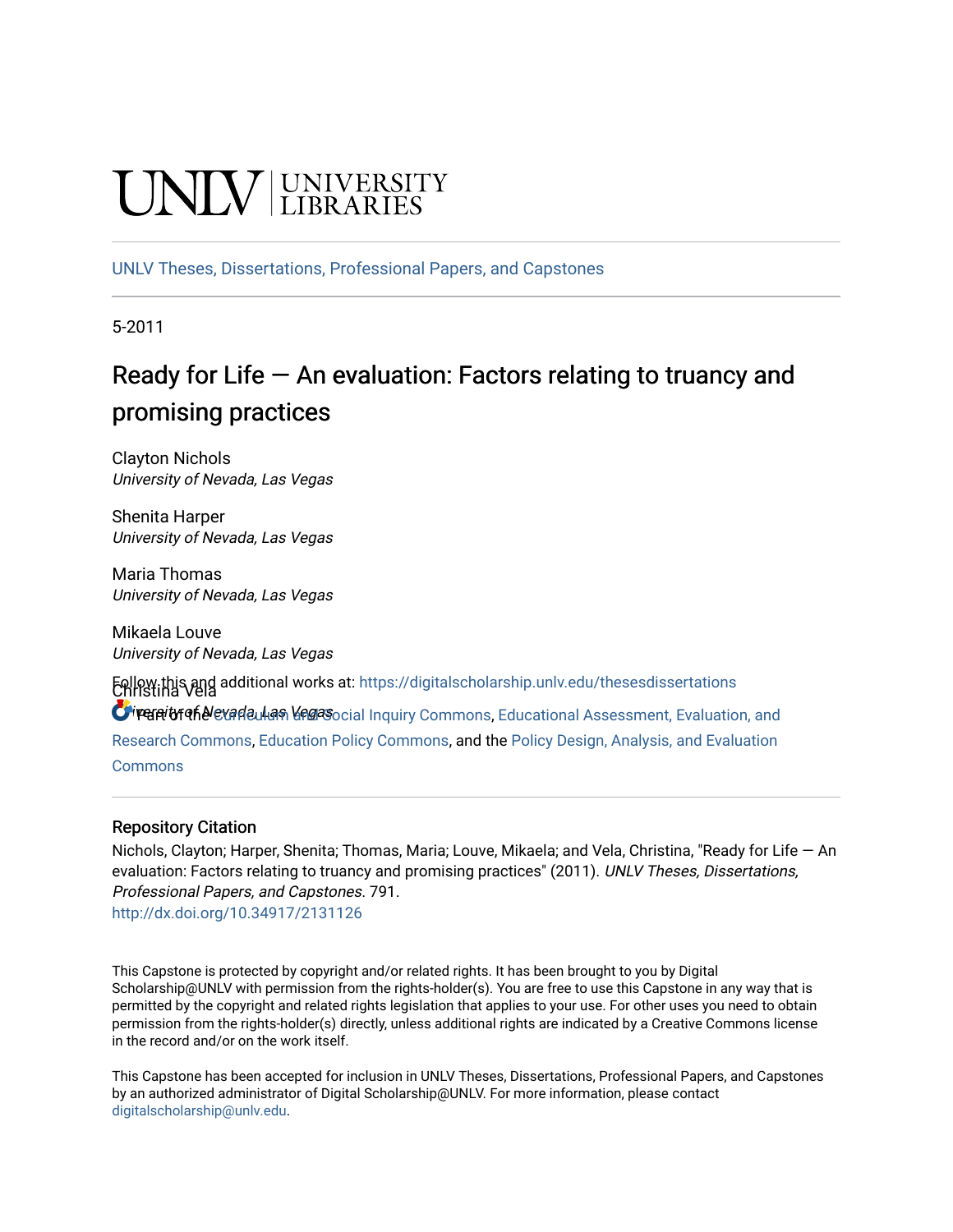# **CINITY** UNIVERSITY

[UNLV Theses, Dissertations, Professional Papers, and Capstones](https://digitalscholarship.unlv.edu/thesesdissertations)

5-2011

# Ready for Life  $-$  An evaluation: Factors relating to truancy and promising practices

Clayton Nichols University of Nevada, Las Vegas

Shenita Harper University of Nevada, Las Vegas

Maria Thomas University of Nevada, Las Vegas

Mikaela Louve University of Nevada, Las Vegas

Christina Vela Follow this and additional works at: [https://digitalscholarship.unlv.edu/thesesdissertations](https://digitalscholarship.unlv.edu/thesesdissertations?utm_source=digitalscholarship.unlv.edu%2Fthesesdissertations%2F791&utm_medium=PDF&utm_campaign=PDFCoverPages)

O reanity of Nevarla, Legas ocial Inquiry Commons, Educational Assessment, Evaluation, and

[Research Commons,](http://network.bepress.com/hgg/discipline/796?utm_source=digitalscholarship.unlv.edu%2Fthesesdissertations%2F791&utm_medium=PDF&utm_campaign=PDFCoverPages) [Education Policy Commons,](http://network.bepress.com/hgg/discipline/1026?utm_source=digitalscholarship.unlv.edu%2Fthesesdissertations%2F791&utm_medium=PDF&utm_campaign=PDFCoverPages) and the [Policy Design, Analysis, and Evaluation](http://network.bepress.com/hgg/discipline/1032?utm_source=digitalscholarship.unlv.edu%2Fthesesdissertations%2F791&utm_medium=PDF&utm_campaign=PDFCoverPages)  **[Commons](http://network.bepress.com/hgg/discipline/1032?utm_source=digitalscholarship.unlv.edu%2Fthesesdissertations%2F791&utm_medium=PDF&utm_campaign=PDFCoverPages)** 

# Repository Citation

Nichols, Clayton; Harper, Shenita; Thomas, Maria; Louve, Mikaela; and Vela, Christina, "Ready for Life — An evaluation: Factors relating to truancy and promising practices" (2011). UNLV Theses, Dissertations, Professional Papers, and Capstones. 791. <http://dx.doi.org/10.34917/2131126>

This Capstone is protected by copyright and/or related rights. It has been brought to you by Digital Scholarship@UNLV with permission from the rights-holder(s). You are free to use this Capstone in any way that is permitted by the copyright and related rights legislation that applies to your use. For other uses you need to obtain permission from the rights-holder(s) directly, unless additional rights are indicated by a Creative Commons license in the record and/or on the work itself.

This Capstone has been accepted for inclusion in UNLV Theses, Dissertations, Professional Papers, and Capstones by an authorized administrator of Digital Scholarship@UNLV. For more information, please contact [digitalscholarship@unlv.edu](mailto:digitalscholarship@unlv.edu).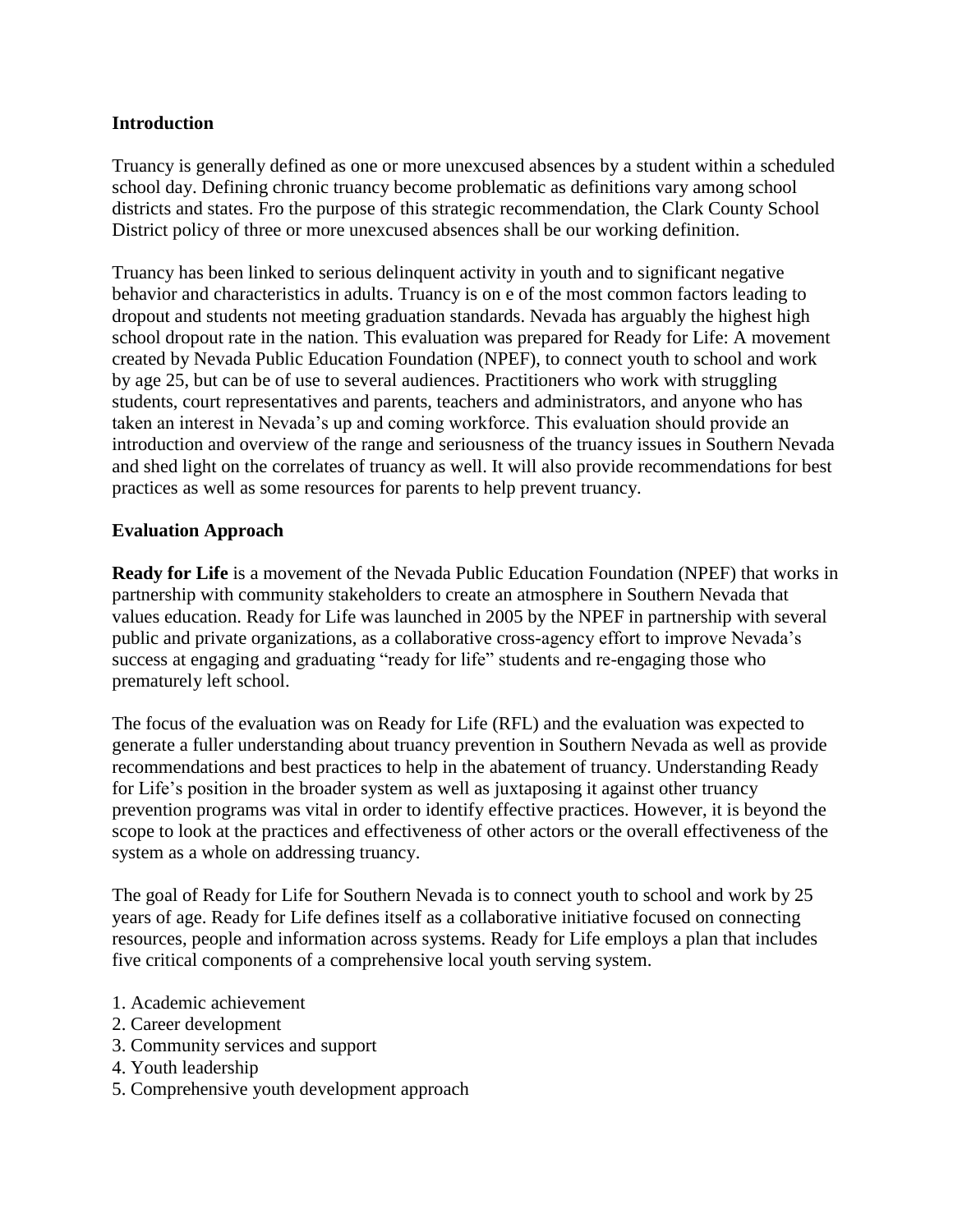# **Introduction**

Truancy is generally defined as one or more unexcused absences by a student within a scheduled school day. Defining chronic truancy become problematic as definitions vary among school districts and states. Fro the purpose of this strategic recommendation, the Clark County School District policy of three or more unexcused absences shall be our working definition.

Truancy has been linked to serious delinquent activity in youth and to significant negative behavior and characteristics in adults. Truancy is on e of the most common factors leading to dropout and students not meeting graduation standards. Nevada has arguably the highest high school dropout rate in the nation. This evaluation was prepared for Ready for Life: A movement created by Nevada Public Education Foundation (NPEF), to connect youth to school and work by age 25, but can be of use to several audiences. Practitioners who work with struggling students, court representatives and parents, teachers and administrators, and anyone who has taken an interest in Nevada's up and coming workforce. This evaluation should provide an introduction and overview of the range and seriousness of the truancy issues in Southern Nevada and shed light on the correlates of truancy as well. It will also provide recommendations for best practices as well as some resources for parents to help prevent truancy.

# **Evaluation Approach**

**Ready for Life** is a movement of the Nevada Public Education Foundation (NPEF) that works in partnership with community stakeholders to create an atmosphere in Southern Nevada that values education. Ready for Life was launched in 2005 by the NPEF in partnership with several public and private organizations, as a collaborative cross-agency effort to improve Nevada's success at engaging and graduating "ready for life" students and re-engaging those who prematurely left school.

The focus of the evaluation was on Ready for Life (RFL) and the evaluation was expected to generate a fuller understanding about truancy prevention in Southern Nevada as well as provide recommendations and best practices to help in the abatement of truancy. Understanding Ready for Life's position in the broader system as well as juxtaposing it against other truancy prevention programs was vital in order to identify effective practices. However, it is beyond the scope to look at the practices and effectiveness of other actors or the overall effectiveness of the system as a whole on addressing truancy.

The goal of Ready for Life for Southern Nevada is to connect youth to school and work by 25 years of age. Ready for Life defines itself as a collaborative initiative focused on connecting resources, people and information across systems. Ready for Life employs a plan that includes five critical components of a comprehensive local youth serving system.

- 1. Academic achievement
- 2. Career development
- 3. Community services and support
- 4. Youth leadership
- 5. Comprehensive youth development approach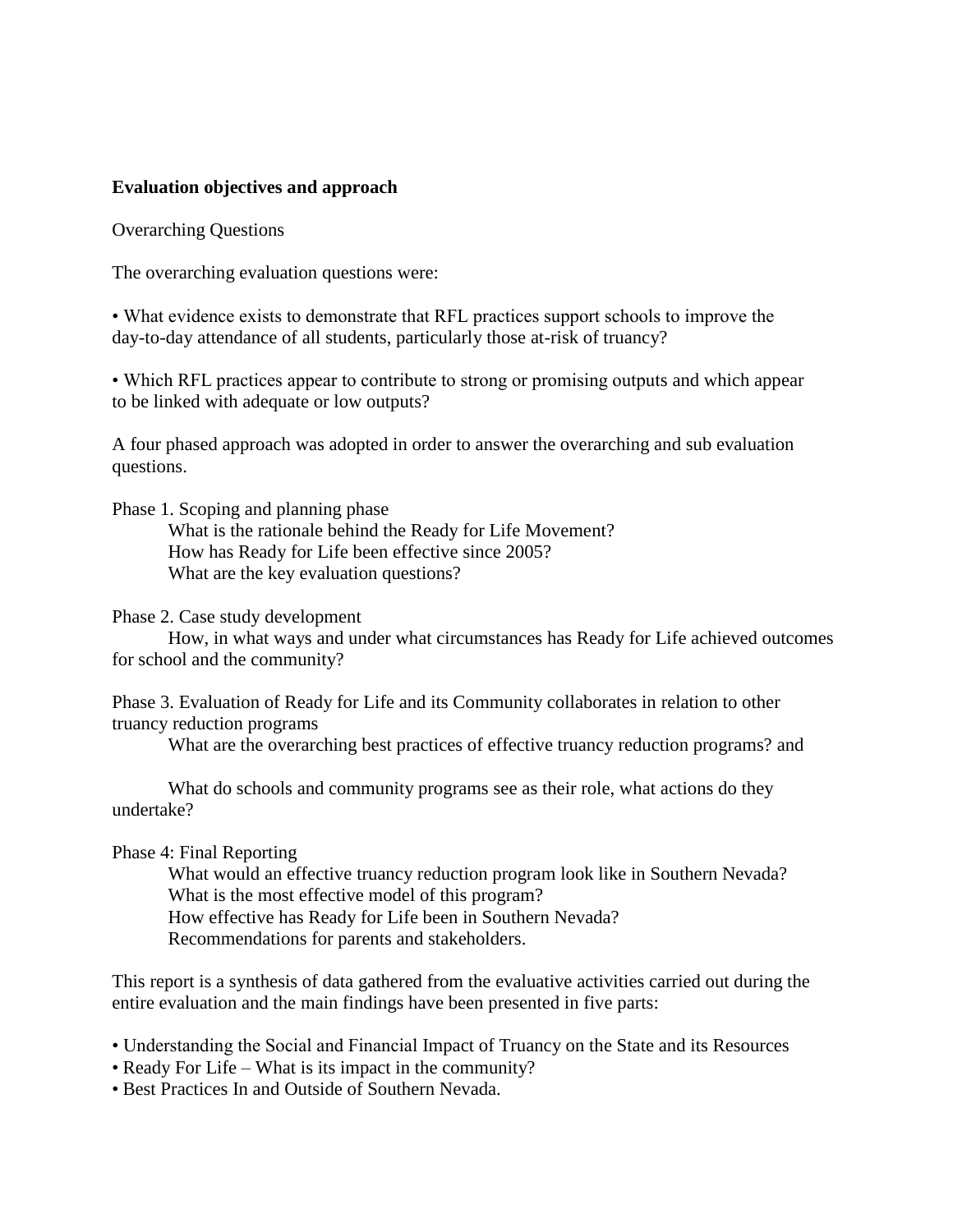#### **Evaluation objectives and approach**

Overarching Questions

The overarching evaluation questions were:

• What evidence exists to demonstrate that RFL practices support schools to improve the day-to-day attendance of all students, particularly those at-risk of truancy?

• Which RFL practices appear to contribute to strong or promising outputs and which appear to be linked with adequate or low outputs?

A four phased approach was adopted in order to answer the overarching and sub evaluation questions.

Phase 1. Scoping and planning phase

What is the rationale behind the Ready for Life Movement? How has Ready for Life been effective since 2005? What are the key evaluation questions?

Phase 2. Case study development

How, in what ways and under what circumstances has Ready for Life achieved outcomes for school and the community?

Phase 3. Evaluation of Ready for Life and its Community collaborates in relation to other truancy reduction programs

What are the overarching best practices of effective truancy reduction programs? and

What do schools and community programs see as their role, what actions do they undertake?

Phase 4: Final Reporting

What would an effective truancy reduction program look like in Southern Nevada? What is the most effective model of this program?

How effective has Ready for Life been in Southern Nevada?

Recommendations for parents and stakeholders.

This report is a synthesis of data gathered from the evaluative activities carried out during the entire evaluation and the main findings have been presented in five parts:

• Understanding the Social and Financial Impact of Truancy on the State and its Resources

• Ready For Life – What is its impact in the community?

• Best Practices In and Outside of Southern Nevada.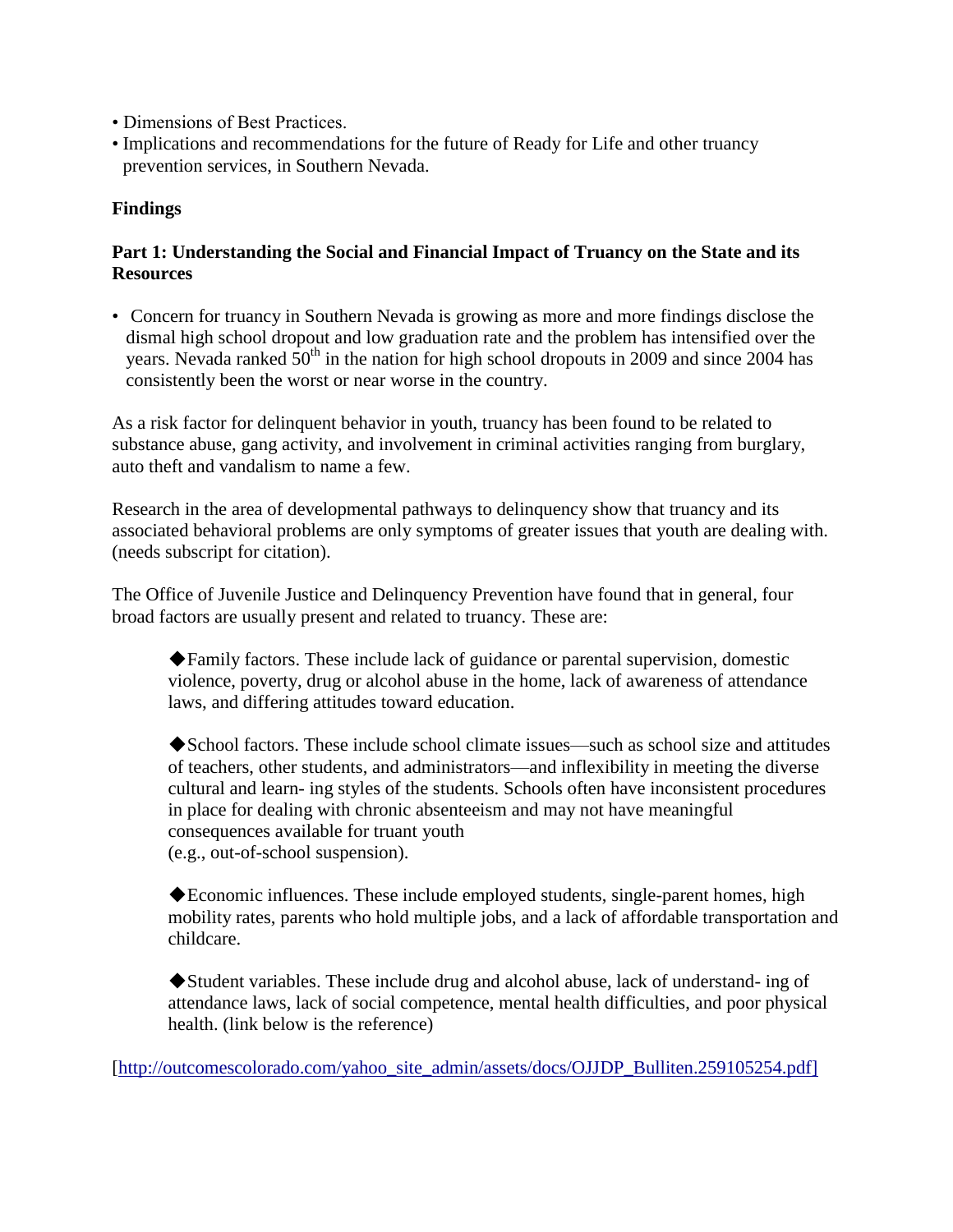- Dimensions of Best Practices.
- Implications and recommendations for the future of Ready for Life and other truancy prevention services, in Southern Nevada.

# **Findings**

# **Part 1: Understanding the Social and Financial Impact of Truancy on the State and its Resources**

• Concern for truancy in Southern Nevada is growing as more and more findings disclose the dismal high school dropout and low graduation rate and the problem has intensified over the vears. Nevada ranked  $50<sup>th</sup>$  in the nation for high school dropouts in 2009 and since 2004 has consistently been the worst or near worse in the country.

As a risk factor for delinquent behavior in youth, truancy has been found to be related to substance abuse, gang activity, and involvement in criminal activities ranging from burglary, auto theft and vandalism to name a few.

Research in the area of developmental pathways to delinquency show that truancy and its associated behavioral problems are only symptoms of greater issues that youth are dealing with. (needs subscript for citation).

The Office of Juvenile Justice and Delinquency Prevention have found that in general, four broad factors are usually present and related to truancy. These are:

◆Family factors. These include lack of guidance or parental supervision, domestic violence, poverty, drug or alcohol abuse in the home, lack of awareness of attendance laws, and differing attitudes toward education.

◆School factors. These include school climate issues—such as school size and attitudes of teachers, other students, and administrators—and inflexibility in meeting the diverse cultural and learn- ing styles of the students. Schools often have inconsistent procedures in place for dealing with chronic absenteeism and may not have meaningful consequences available for truant youth (e.g., out-of-school suspension).

◆Economic influences. These include employed students, single-parent homes, high mobility rates, parents who hold multiple jobs, and a lack of affordable transportation and childcare.

◆Student variables. These include drug and alcohol abuse, lack of understand- ing of attendance laws, lack of social competence, mental health difficulties, and poor physical health. (link below is the reference)

[\[http://outcomescolorado.com/yahoo\\_site\\_admin/assets/docs/OJJDP\\_Bulliten.259105254.pdf\]](http://outcomescolorado.com/yahoo_site_admin/assets/docs/OJJDP_Bulliten.259105254.pdf%5D)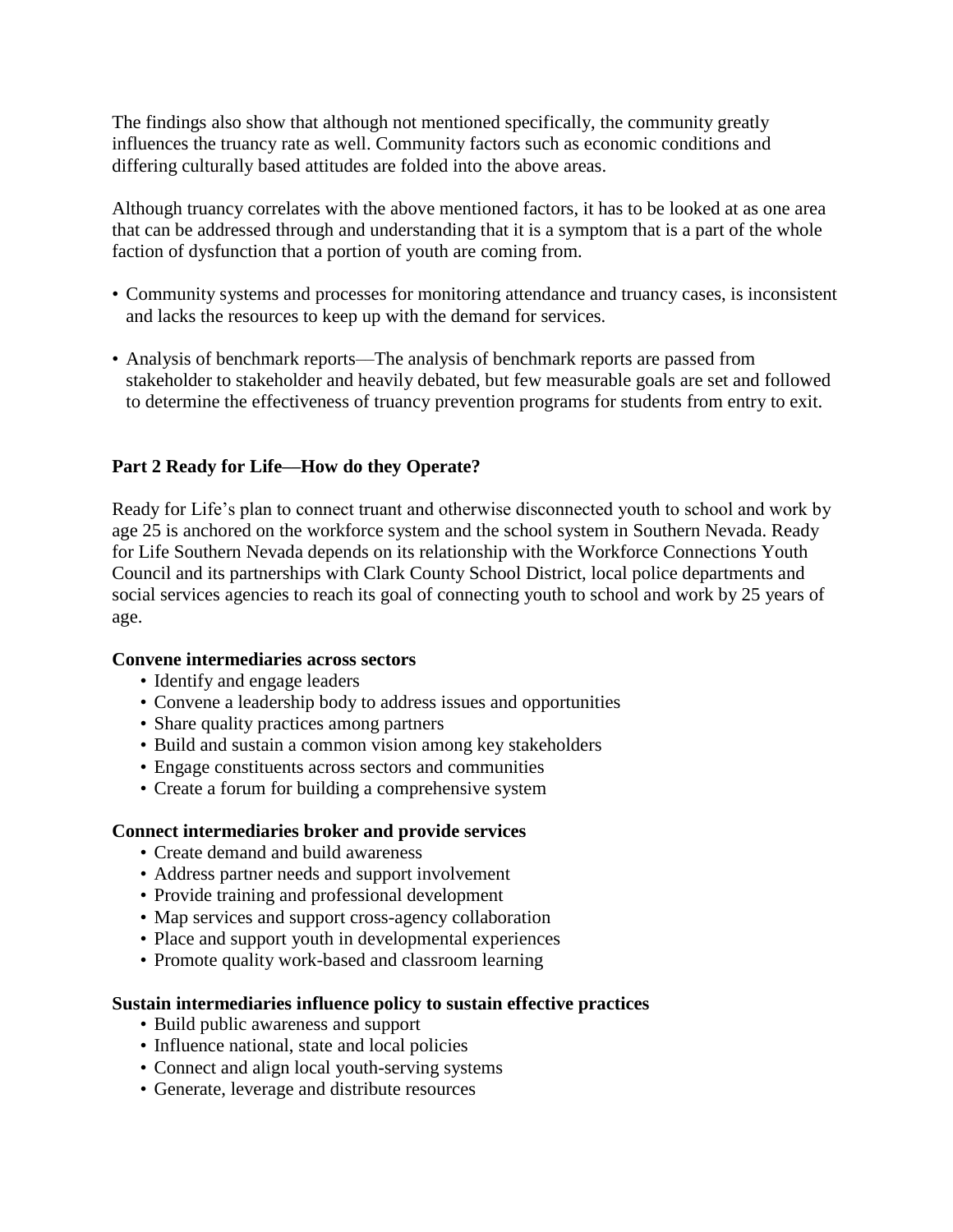The findings also show that although not mentioned specifically, the community greatly influences the truancy rate as well. Community factors such as economic conditions and differing culturally based attitudes are folded into the above areas.

Although truancy correlates with the above mentioned factors, it has to be looked at as one area that can be addressed through and understanding that it is a symptom that is a part of the whole faction of dysfunction that a portion of youth are coming from.

- Community systems and processes for monitoring attendance and truancy cases, is inconsistent and lacks the resources to keep up with the demand for services.
- Analysis of benchmark reports—The analysis of benchmark reports are passed from stakeholder to stakeholder and heavily debated, but few measurable goals are set and followed to determine the effectiveness of truancy prevention programs for students from entry to exit.

# **Part 2 Ready for Life––How do they Operate?**

Ready for Life's plan to connect truant and otherwise disconnected youth to school and work by age 25 is anchored on the workforce system and the school system in Southern Nevada. Ready for Life Southern Nevada depends on its relationship with the Workforce Connections Youth Council and its partnerships with Clark County School District, local police departments and social services agencies to reach its goal of connecting youth to school and work by 25 years of age.

# **Convene intermediaries across sectors**

- Identify and engage leaders
- Convene a leadership body to address issues and opportunities
- Share quality practices among partners
- Build and sustain a common vision among key stakeholders
- Engage constituents across sectors and communities
- Create a forum for building a comprehensive system

# **Connect intermediaries broker and provide services**

- Create demand and build awareness
- Address partner needs and support involvement
- Provide training and professional development
- Map services and support cross-agency collaboration
- Place and support youth in developmental experiences
- Promote quality work-based and classroom learning

# **Sustain intermediaries influence policy to sustain effective practices**

- Build public awareness and support
- Influence national, state and local policies
- Connect and align local youth-serving systems
- Generate, leverage and distribute resources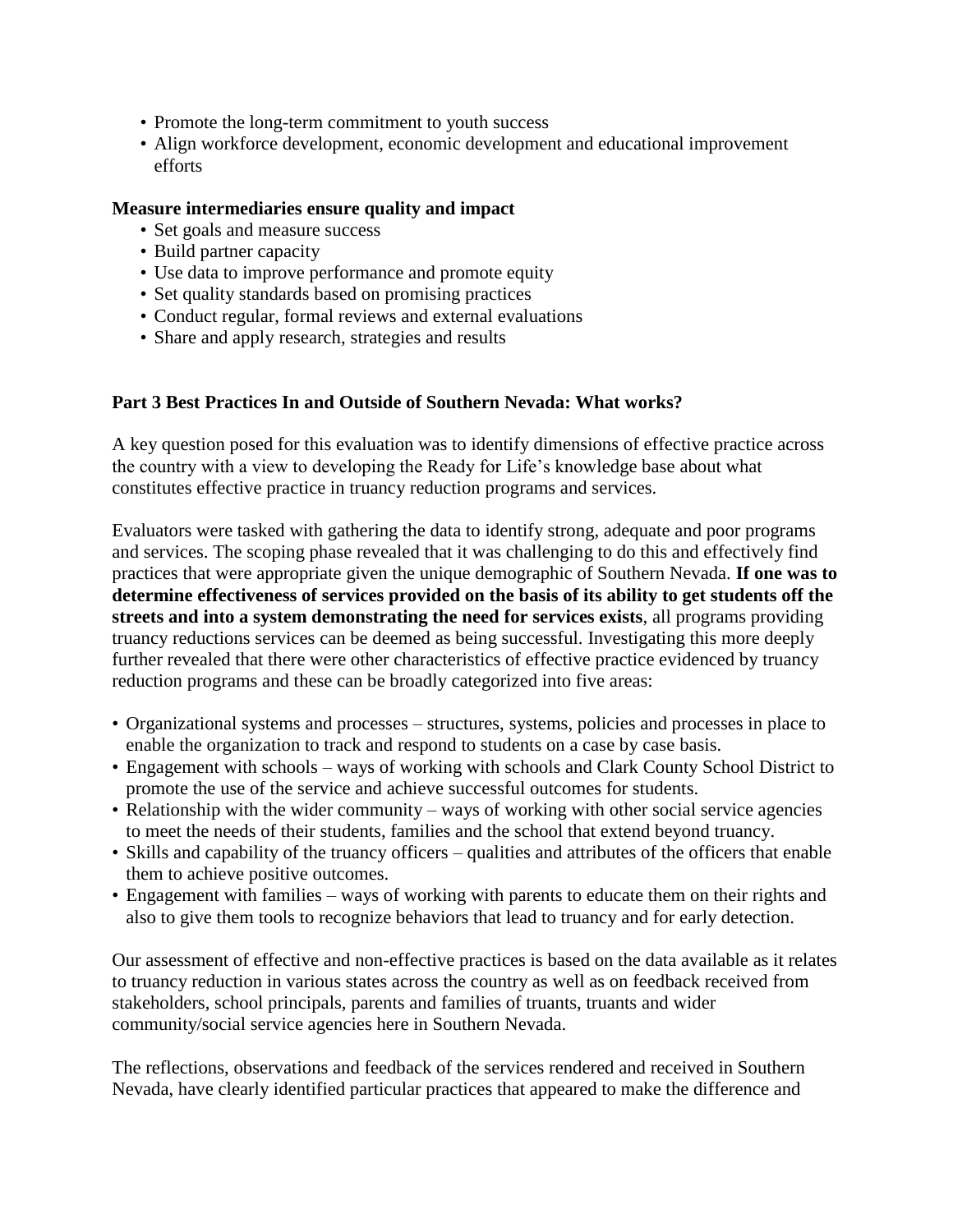- Promote the long-term commitment to youth success
- Align workforce development, economic development and educational improvement efforts

#### **Measure intermediaries ensure quality and impact**

- Set goals and measure success
- Build partner capacity
- Use data to improve performance and promote equity
- Set quality standards based on promising practices
- Conduct regular, formal reviews and external evaluations
- Share and apply research, strategies and results

# **Part 3 Best Practices In and Outside of Southern Nevada: What works?**

A key question posed for this evaluation was to identify dimensions of effective practice across the country with a view to developing the Ready for Life's knowledge base about what constitutes effective practice in truancy reduction programs and services.

Evaluators were tasked with gathering the data to identify strong, adequate and poor programs and services. The scoping phase revealed that it was challenging to do this and effectively find practices that were appropriate given the unique demographic of Southern Nevada. **If one was to determine effectiveness of services provided on the basis of its ability to get students off the streets and into a system demonstrating the need for services exists**, all programs providing truancy reductions services can be deemed as being successful. Investigating this more deeply further revealed that there were other characteristics of effective practice evidenced by truancy reduction programs and these can be broadly categorized into five areas:

- Organizational systems and processes structures, systems, policies and processes in place to enable the organization to track and respond to students on a case by case basis.
- Engagement with schools ways of working with schools and Clark County School District to promote the use of the service and achieve successful outcomes for students.
- Relationship with the wider community ways of working with other social service agencies to meet the needs of their students, families and the school that extend beyond truancy.
- Skills and capability of the truancy officers qualities and attributes of the officers that enable them to achieve positive outcomes.
- Engagement with families ways of working with parents to educate them on their rights and also to give them tools to recognize behaviors that lead to truancy and for early detection.

Our assessment of effective and non-effective practices is based on the data available as it relates to truancy reduction in various states across the country as well as on feedback received from stakeholders, school principals, parents and families of truants, truants and wider community/social service agencies here in Southern Nevada.

The reflections, observations and feedback of the services rendered and received in Southern Nevada, have clearly identified particular practices that appeared to make the difference and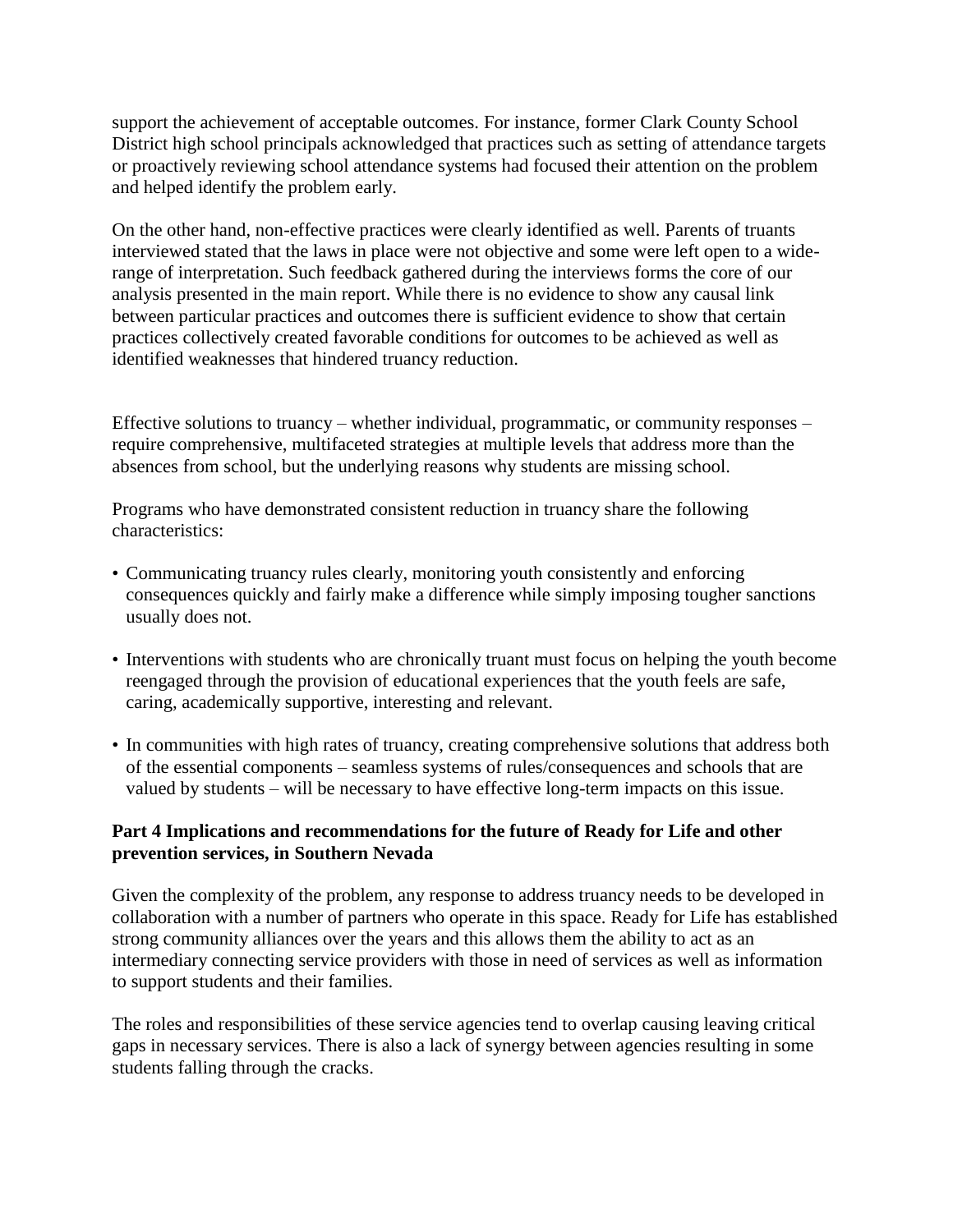support the achievement of acceptable outcomes. For instance, former Clark County School District high school principals acknowledged that practices such as setting of attendance targets or proactively reviewing school attendance systems had focused their attention on the problem and helped identify the problem early.

On the other hand, non-effective practices were clearly identified as well. Parents of truants interviewed stated that the laws in place were not objective and some were left open to a widerange of interpretation. Such feedback gathered during the interviews forms the core of our analysis presented in the main report. While there is no evidence to show any causal link between particular practices and outcomes there is sufficient evidence to show that certain practices collectively created favorable conditions for outcomes to be achieved as well as identified weaknesses that hindered truancy reduction.

Effective solutions to truancy – whether individual, programmatic, or community responses – require comprehensive, multifaceted strategies at multiple levels that address more than the absences from school, but the underlying reasons why students are missing school.

Programs who have demonstrated consistent reduction in truancy share the following characteristics:

- Communicating truancy rules clearly, monitoring youth consistently and enforcing consequences quickly and fairly make a difference while simply imposing tougher sanctions usually does not.
- Interventions with students who are chronically truant must focus on helping the youth become reengaged through the provision of educational experiences that the youth feels are safe, caring, academically supportive, interesting and relevant.
- In communities with high rates of truancy, creating comprehensive solutions that address both of the essential components – seamless systems of rules/consequences and schools that are valued by students – will be necessary to have effective long-term impacts on this issue.

# **Part 4 Implications and recommendations for the future of Ready for Life and other prevention services, in Southern Nevada**

Given the complexity of the problem, any response to address truancy needs to be developed in collaboration with a number of partners who operate in this space. Ready for Life has established strong community alliances over the years and this allows them the ability to act as an intermediary connecting service providers with those in need of services as well as information to support students and their families.

The roles and responsibilities of these service agencies tend to overlap causing leaving critical gaps in necessary services. There is also a lack of synergy between agencies resulting in some students falling through the cracks.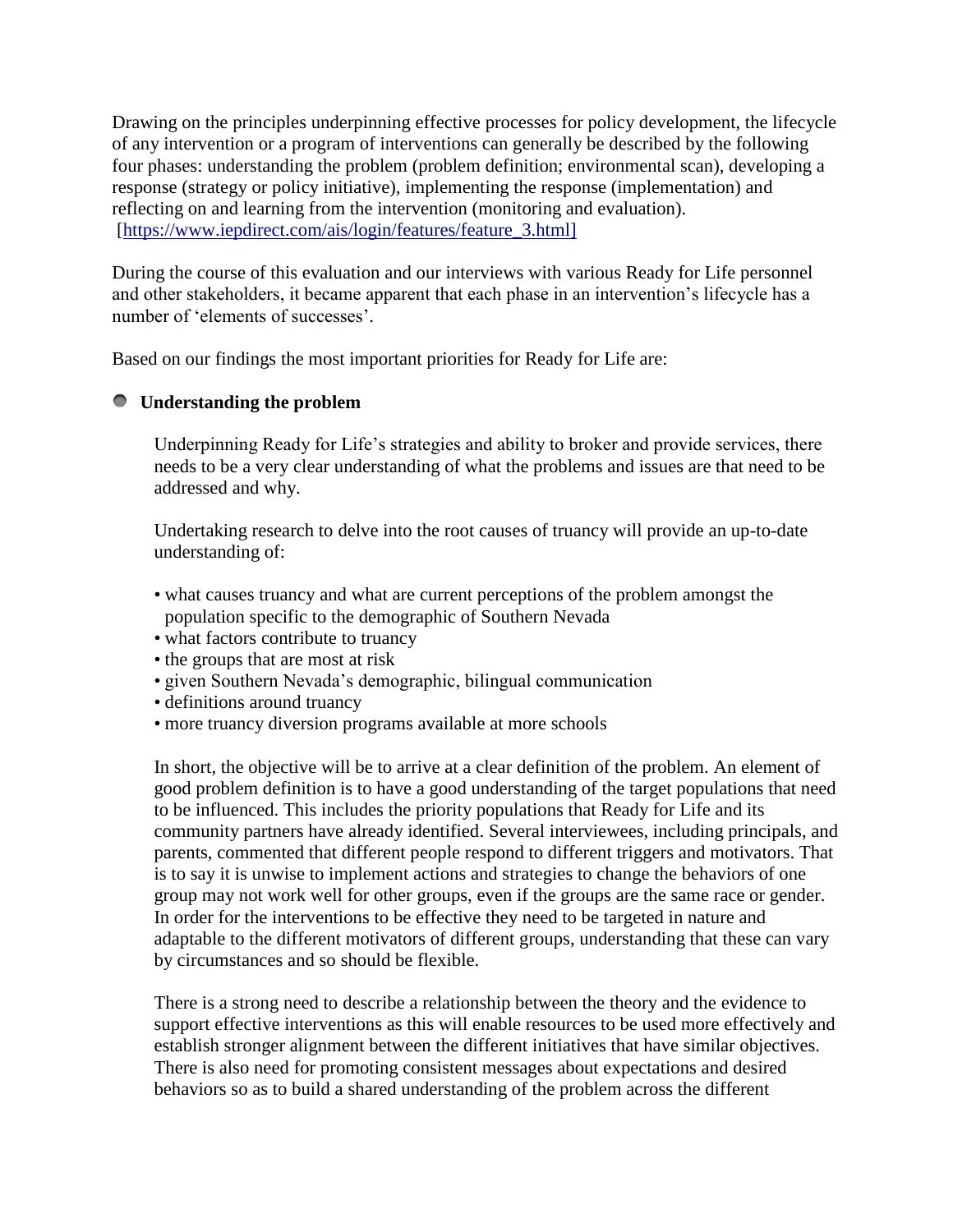Drawing on the principles underpinning effective processes for policy development, the lifecycle of any intervention or a program of interventions can generally be described by the following four phases: understanding the problem (problem definition; environmental scan), developing a response (strategy or policy initiative), implementing the response (implementation) and reflecting on and learning from the intervention (monitoring and evaluation). [\[https://www.iepdirect.com/ais/login/features/feature\\_3.html\]](https://www.iepdirect.com/ais/login/features/feature_3.html%5D)

During the course of this evaluation and our interviews with various Ready for Life personnel and other stakeholders, it became apparent that each phase in an intervention's lifecycle has a number of 'elements of successes'.

Based on our findings the most important priorities for Ready for Life are:

# **Understanding the problem**

Underpinning Ready for Life's strategies and ability to broker and provide services, there needs to be a very clear understanding of what the problems and issues are that need to be addressed and why.

Undertaking research to delve into the root causes of truancy will provide an up-to-date understanding of:

- what causes truancy and what are current perceptions of the problem amongst the population specific to the demographic of Southern Nevada
- what factors contribute to truancy
- the groups that are most at risk
- given Southern Nevada's demographic, bilingual communication
- definitions around truancy
- more truancy diversion programs available at more schools

In short, the objective will be to arrive at a clear definition of the problem. An element of good problem definition is to have a good understanding of the target populations that need to be influenced. This includes the priority populations that Ready for Life and its community partners have already identified. Several interviewees, including principals, and parents, commented that different people respond to different triggers and motivators. That is to say it is unwise to implement actions and strategies to change the behaviors of one group may not work well for other groups, even if the groups are the same race or gender. In order for the interventions to be effective they need to be targeted in nature and adaptable to the different motivators of different groups, understanding that these can vary by circumstances and so should be flexible.

There is a strong need to describe a relationship between the theory and the evidence to support effective interventions as this will enable resources to be used more effectively and establish stronger alignment between the different initiatives that have similar objectives. There is also need for promoting consistent messages about expectations and desired behaviors so as to build a shared understanding of the problem across the different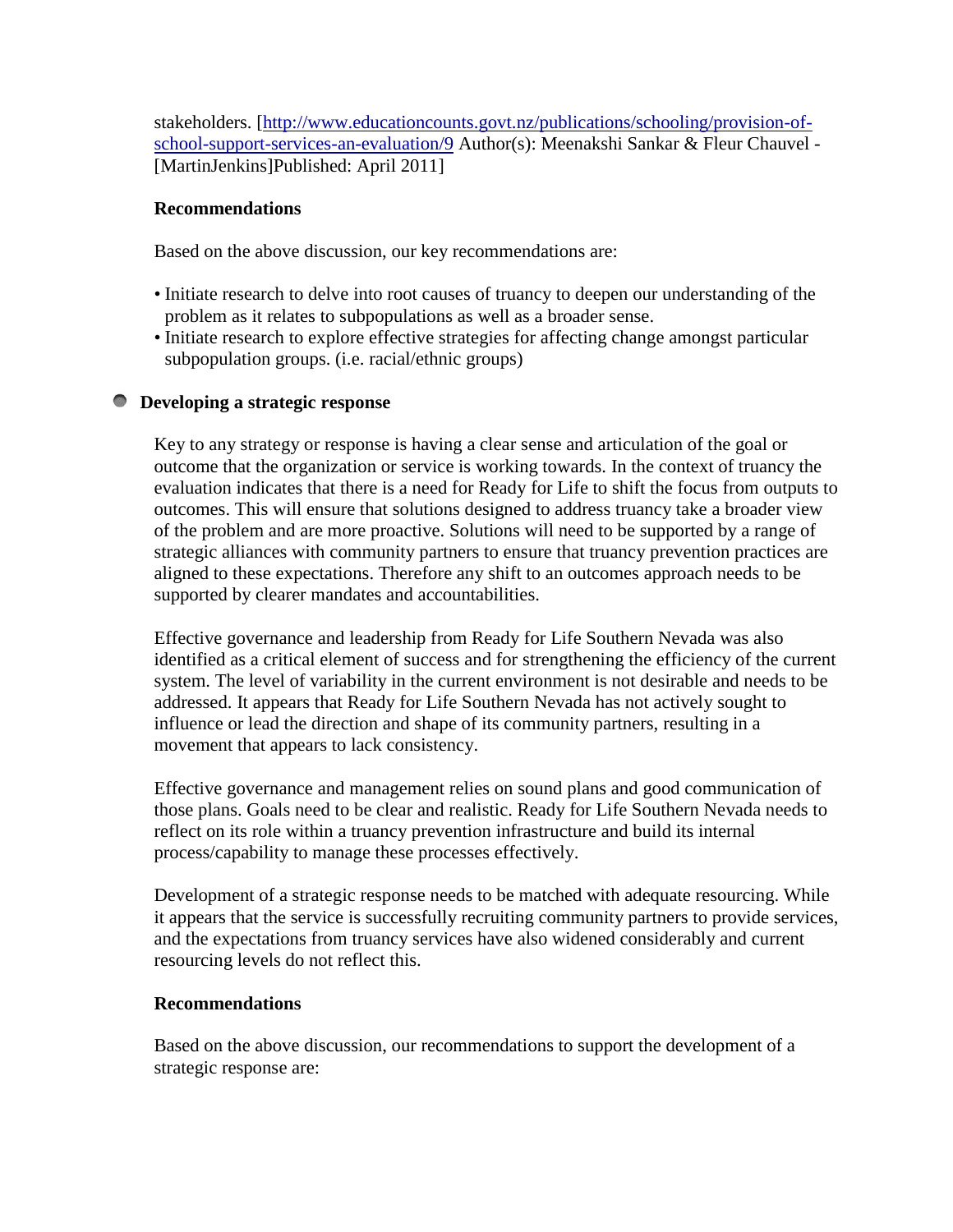stakeholders. [\[http://www.educationcounts.govt.nz/publications/schooling/provision-of](http://www.educationcounts.govt.nz/publications/schooling/provision-of-school-support-services-an-evaluation/9)[school-support-services-an-evaluation/9](http://www.educationcounts.govt.nz/publications/schooling/provision-of-school-support-services-an-evaluation/9) Author(s): Meenakshi Sankar & Fleur Chauvel - [MartinJenkins]Published: April 2011]

# **Recommendations**

Based on the above discussion, our key recommendations are:

- Initiate research to delve into root causes of truancy to deepen our understanding of the problem as it relates to subpopulations as well as a broader sense.
- Initiate research to explore effective strategies for affecting change amongst particular subpopulation groups. (i.e. racial/ethnic groups)

# **Developing a strategic response**

Key to any strategy or response is having a clear sense and articulation of the goal or outcome that the organization or service is working towards. In the context of truancy the evaluation indicates that there is a need for Ready for Life to shift the focus from outputs to outcomes. This will ensure that solutions designed to address truancy take a broader view of the problem and are more proactive. Solutions will need to be supported by a range of strategic alliances with community partners to ensure that truancy prevention practices are aligned to these expectations. Therefore any shift to an outcomes approach needs to be supported by clearer mandates and accountabilities.

Effective governance and leadership from Ready for Life Southern Nevada was also identified as a critical element of success and for strengthening the efficiency of the current system. The level of variability in the current environment is not desirable and needs to be addressed. It appears that Ready for Life Southern Nevada has not actively sought to influence or lead the direction and shape of its community partners, resulting in a movement that appears to lack consistency.

Effective governance and management relies on sound plans and good communication of those plans. Goals need to be clear and realistic. Ready for Life Southern Nevada needs to reflect on its role within a truancy prevention infrastructure and build its internal process/capability to manage these processes effectively.

Development of a strategic response needs to be matched with adequate resourcing. While it appears that the service is successfully recruiting community partners to provide services, and the expectations from truancy services have also widened considerably and current resourcing levels do not reflect this.

# **Recommendations**

Based on the above discussion, our recommendations to support the development of a strategic response are: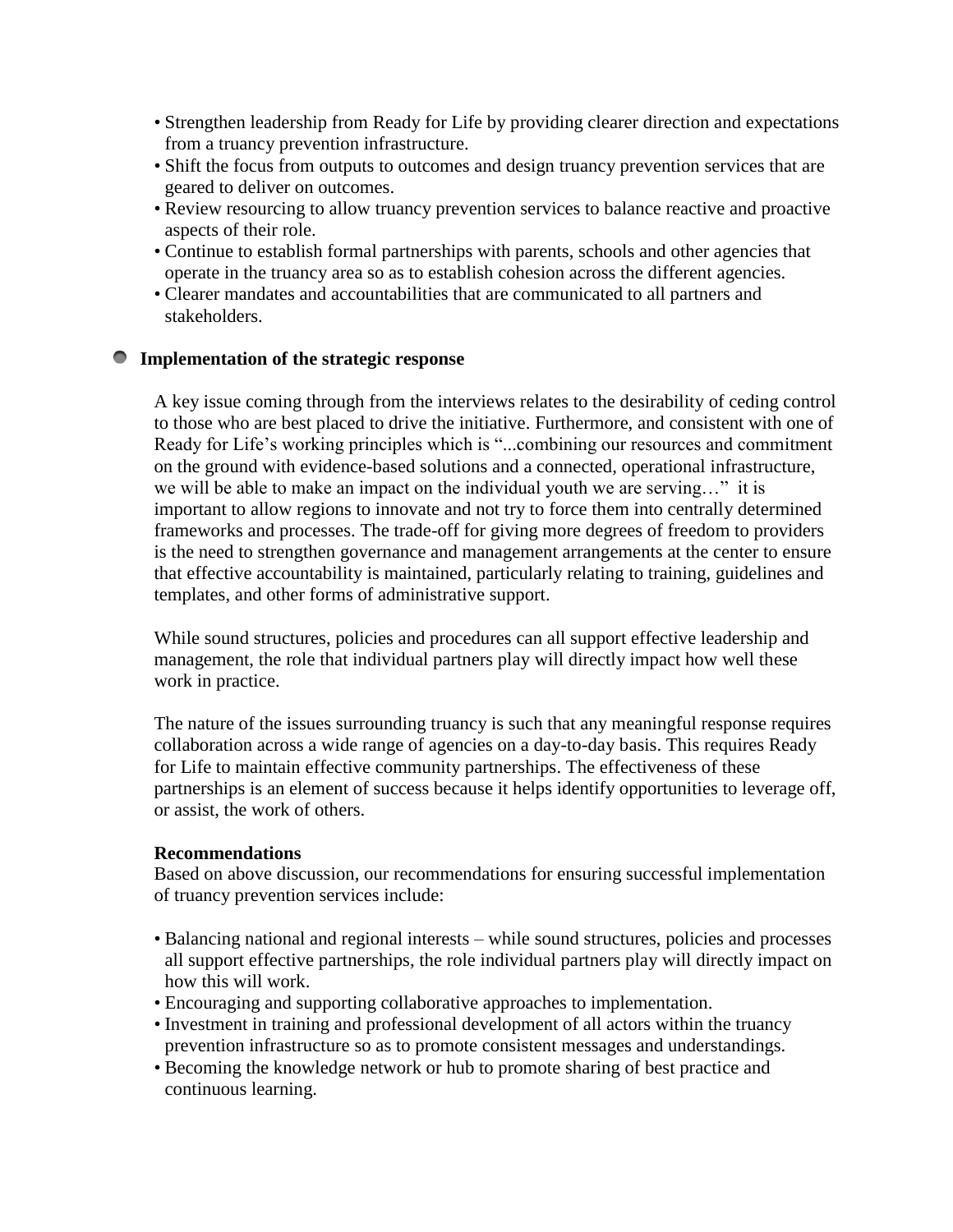- Strengthen leadership from Ready for Life by providing clearer direction and expectations from a truancy prevention infrastructure.
- Shift the focus from outputs to outcomes and design truancy prevention services that are geared to deliver on outcomes.
- Review resourcing to allow truancy prevention services to balance reactive and proactive aspects of their role.
- Continue to establish formal partnerships with parents, schools and other agencies that operate in the truancy area so as to establish cohesion across the different agencies.
- Clearer mandates and accountabilities that are communicated to all partners and stakeholders.

# **Implementation of the strategic response**

A key issue coming through from the interviews relates to the desirability of ceding control to those who are best placed to drive the initiative. Furthermore, and consistent with one of Ready for Life's working principles which is "...combining our resources and commitment on the ground with evidence-based solutions and a connected, operational infrastructure, we will be able to make an impact on the individual youth we are serving..." it is important to allow regions to innovate and not try to force them into centrally determined frameworks and processes. The trade-off for giving more degrees of freedom to providers is the need to strengthen governance and management arrangements at the center to ensure that effective accountability is maintained, particularly relating to training, guidelines and templates, and other forms of administrative support.

While sound structures, policies and procedures can all support effective leadership and management, the role that individual partners play will directly impact how well these work in practice.

The nature of the issues surrounding truancy is such that any meaningful response requires collaboration across a wide range of agencies on a day-to-day basis. This requires Ready for Life to maintain effective community partnerships. The effectiveness of these partnerships is an element of success because it helps identify opportunities to leverage off, or assist, the work of others.

#### **Recommendations**

Based on above discussion, our recommendations for ensuring successful implementation of truancy prevention services include:

- Balancing national and regional interests while sound structures, policies and processes all support effective partnerships, the role individual partners play will directly impact on how this will work.
- Encouraging and supporting collaborative approaches to implementation.
- Investment in training and professional development of all actors within the truancy prevention infrastructure so as to promote consistent messages and understandings.
- Becoming the knowledge network or hub to promote sharing of best practice and continuous learning.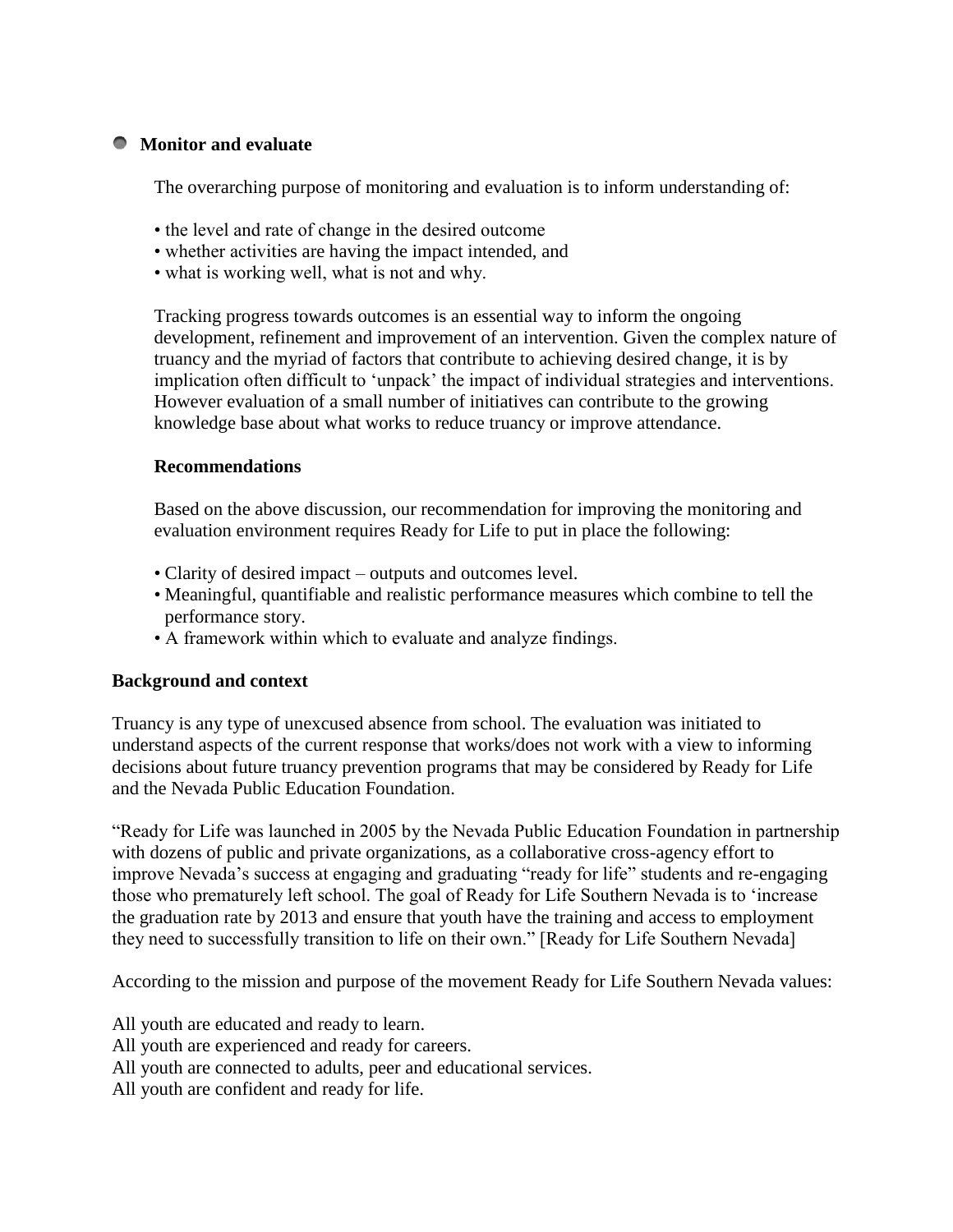# **Monitor and evaluate**

The overarching purpose of monitoring and evaluation is to inform understanding of:

- the level and rate of change in the desired outcome
- whether activities are having the impact intended, and
- what is working well, what is not and why.

Tracking progress towards outcomes is an essential way to inform the ongoing development, refinement and improvement of an intervention. Given the complex nature of truancy and the myriad of factors that contribute to achieving desired change, it is by implication often difficult to 'unpack' the impact of individual strategies and interventions. However evaluation of a small number of initiatives can contribute to the growing knowledge base about what works to reduce truancy or improve attendance.

# **Recommendations**

Based on the above discussion, our recommendation for improving the monitoring and evaluation environment requires Ready for Life to put in place the following:

- Clarity of desired impact outputs and outcomes level.
- Meaningful, quantifiable and realistic performance measures which combine to tell the performance story.
- A framework within which to evaluate and analyze findings.

# **Background and context**

Truancy is any type of unexcused absence from school. The evaluation was initiated to understand aspects of the current response that works/does not work with a view to informing decisions about future truancy prevention programs that may be considered by Ready for Life and the Nevada Public Education Foundation.

"Ready for Life was launched in 2005 by the Nevada Public Education Foundation in partnership with dozens of public and private organizations, as a collaborative cross-agency effort to improve Nevada's success at engaging and graduating "ready for life" students and re-engaging those who prematurely left school. The goal of Ready for Life Southern Nevada is to 'increase the graduation rate by 2013 and ensure that youth have the training and access to employment they need to successfully transition to life on their own." [Ready for Life Southern Nevada]

According to the mission and purpose of the movement Ready for Life Southern Nevada values:

All youth are educated and ready to learn.

All youth are experienced and ready for careers.

All youth are connected to adults, peer and educational services.

All youth are confident and ready for life.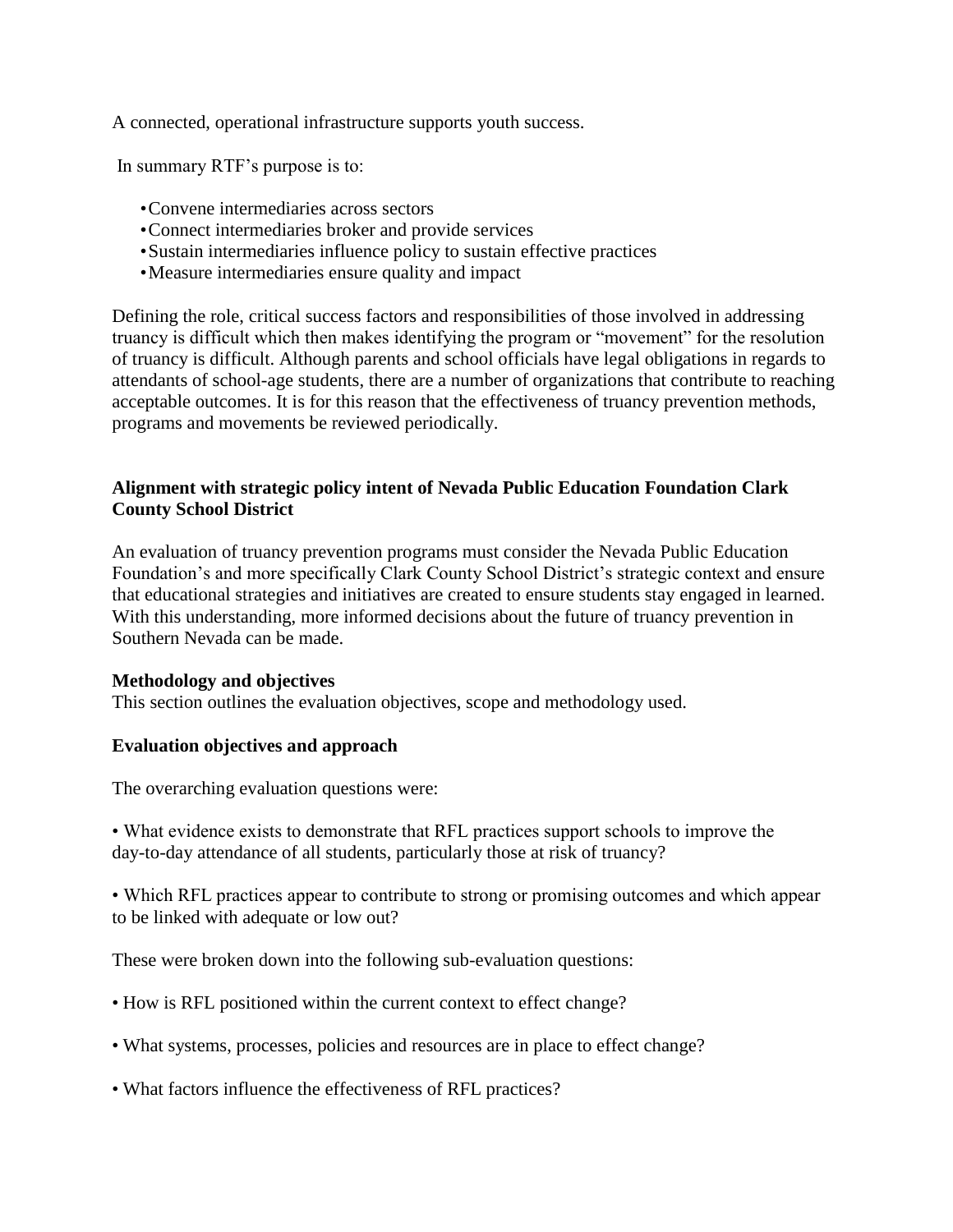A connected, operational infrastructure supports youth success.

In summary RTF's purpose is to:

- •Convene intermediaries across sectors
- •Connect intermediaries broker and provide services
- •Sustain intermediaries influence policy to sustain effective practices
- •Measure intermediaries ensure quality and impact

Defining the role, critical success factors and responsibilities of those involved in addressing truancy is difficult which then makes identifying the program or "movement" for the resolution of truancy is difficult. Although parents and school officials have legal obligations in regards to attendants of school-age students, there are a number of organizations that contribute to reaching acceptable outcomes. It is for this reason that the effectiveness of truancy prevention methods, programs and movements be reviewed periodically.

# **Alignment with strategic policy intent of Nevada Public Education Foundation Clark County School District**

An evaluation of truancy prevention programs must consider the Nevada Public Education Foundation's and more specifically Clark County School District's strategic context and ensure that educational strategies and initiatives are created to ensure students stay engaged in learned. With this understanding, more informed decisions about the future of truancy prevention in Southern Nevada can be made.

# **Methodology and objectives**

This section outlines the evaluation objectives, scope and methodology used.

# **Evaluation objectives and approach**

The overarching evaluation questions were:

• What evidence exists to demonstrate that RFL practices support schools to improve the day-to-day attendance of all students, particularly those at risk of truancy?

• Which RFL practices appear to contribute to strong or promising outcomes and which appear to be linked with adequate or low out?

These were broken down into the following sub-evaluation questions:

- How is RFL positioned within the current context to effect change?
- What systems, processes, policies and resources are in place to effect change?
- What factors influence the effectiveness of RFL practices?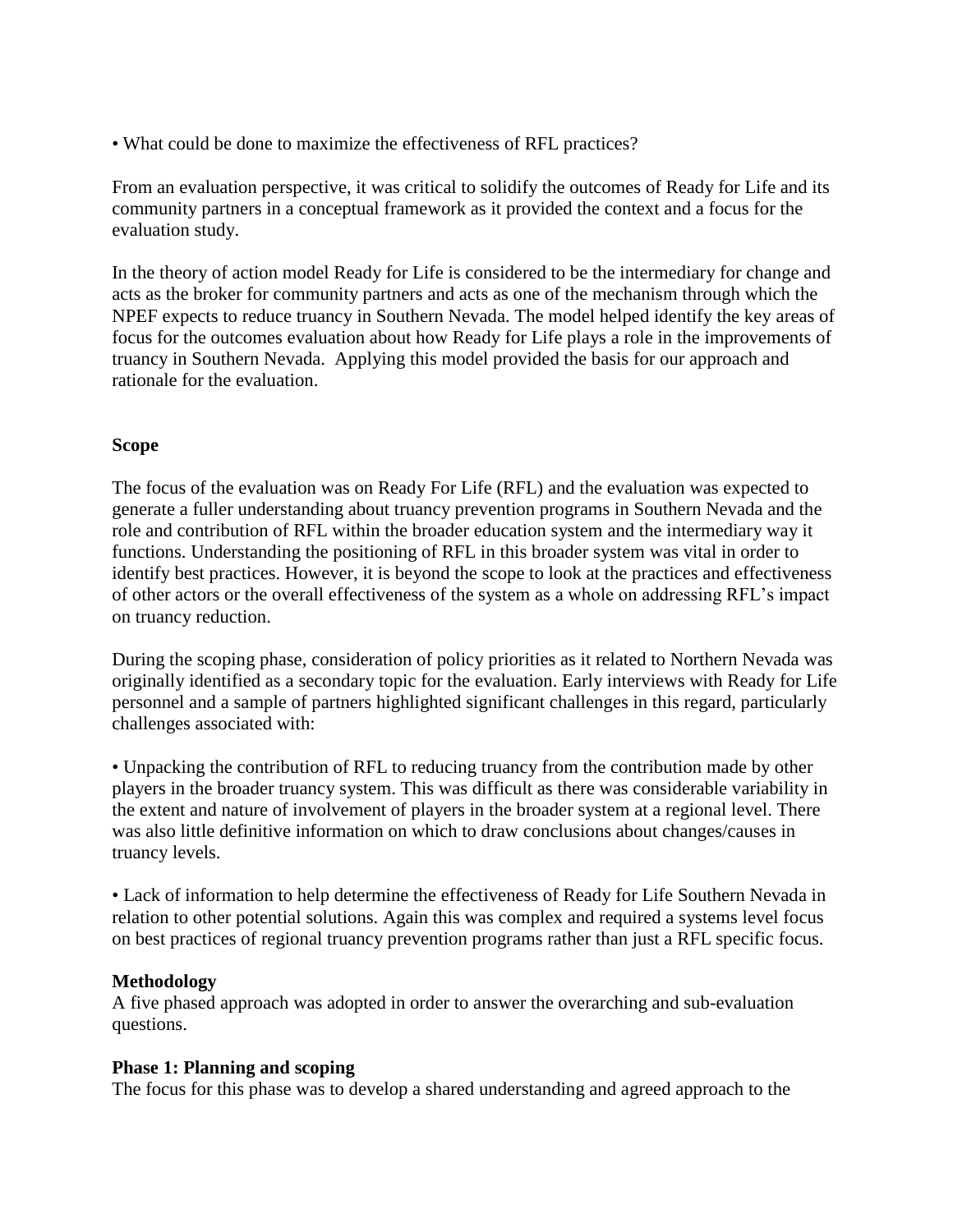• What could be done to maximize the effectiveness of RFL practices?

From an evaluation perspective, it was critical to solidify the outcomes of Ready for Life and its community partners in a conceptual framework as it provided the context and a focus for the evaluation study.

In the theory of action model Ready for Life is considered to be the intermediary for change and acts as the broker for community partners and acts as one of the mechanism through which the NPEF expects to reduce truancy in Southern Nevada. The model helped identify the key areas of focus for the outcomes evaluation about how Ready for Life plays a role in the improvements of truancy in Southern Nevada. Applying this model provided the basis for our approach and rationale for the evaluation.

# **Scope**

The focus of the evaluation was on Ready For Life (RFL) and the evaluation was expected to generate a fuller understanding about truancy prevention programs in Southern Nevada and the role and contribution of RFL within the broader education system and the intermediary way it functions. Understanding the positioning of RFL in this broader system was vital in order to identify best practices. However, it is beyond the scope to look at the practices and effectiveness of other actors or the overall effectiveness of the system as a whole on addressing RFL's impact on truancy reduction.

During the scoping phase, consideration of policy priorities as it related to Northern Nevada was originally identified as a secondary topic for the evaluation. Early interviews with Ready for Life personnel and a sample of partners highlighted significant challenges in this regard, particularly challenges associated with:

• Unpacking the contribution of RFL to reducing truancy from the contribution made by other players in the broader truancy system. This was difficult as there was considerable variability in the extent and nature of involvement of players in the broader system at a regional level. There was also little definitive information on which to draw conclusions about changes/causes in truancy levels.

• Lack of information to help determine the effectiveness of Ready for Life Southern Nevada in relation to other potential solutions. Again this was complex and required a systems level focus on best practices of regional truancy prevention programs rather than just a RFL specific focus.

# **Methodology**

A five phased approach was adopted in order to answer the overarching and sub-evaluation questions.

# **Phase 1: Planning and scoping**

The focus for this phase was to develop a shared understanding and agreed approach to the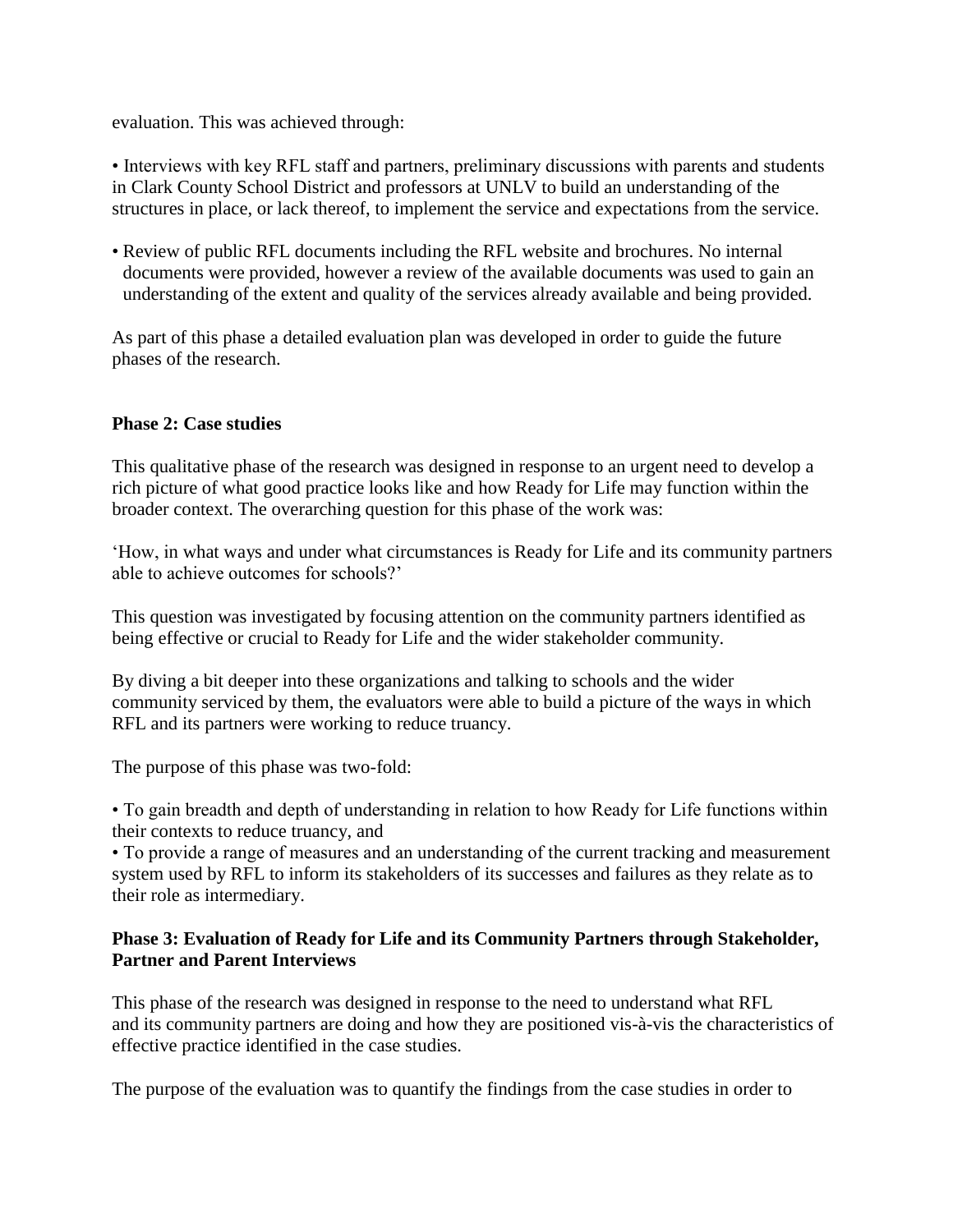evaluation. This was achieved through:

• Interviews with key RFL staff and partners, preliminary discussions with parents and students in Clark County School District and professors at UNLV to build an understanding of the structures in place, or lack thereof, to implement the service and expectations from the service.

• Review of public RFL documents including the RFL website and brochures. No internal documents were provided, however a review of the available documents was used to gain an understanding of the extent and quality of the services already available and being provided.

As part of this phase a detailed evaluation plan was developed in order to guide the future phases of the research.

# **Phase 2: Case studies**

This qualitative phase of the research was designed in response to an urgent need to develop a rich picture of what good practice looks like and how Ready for Life may function within the broader context. The overarching question for this phase of the work was:

‗How, in what ways and under what circumstances is Ready for Life and its community partners able to achieve outcomes for schools?'

This question was investigated by focusing attention on the community partners identified as being effective or crucial to Ready for Life and the wider stakeholder community.

By diving a bit deeper into these organizations and talking to schools and the wider community serviced by them, the evaluators were able to build a picture of the ways in which RFL and its partners were working to reduce truancy.

The purpose of this phase was two-fold:

• To gain breadth and depth of understanding in relation to how Ready for Life functions within their contexts to reduce truancy, and

• To provide a range of measures and an understanding of the current tracking and measurement system used by RFL to inform its stakeholders of its successes and failures as they relate as to their role as intermediary.

# **Phase 3: Evaluation of Ready for Life and its Community Partners through Stakeholder, Partner and Parent Interviews**

This phase of the research was designed in response to the need to understand what RFL and its community partners are doing and how they are positioned vis-à-vis the characteristics of effective practice identified in the case studies.

The purpose of the evaluation was to quantify the findings from the case studies in order to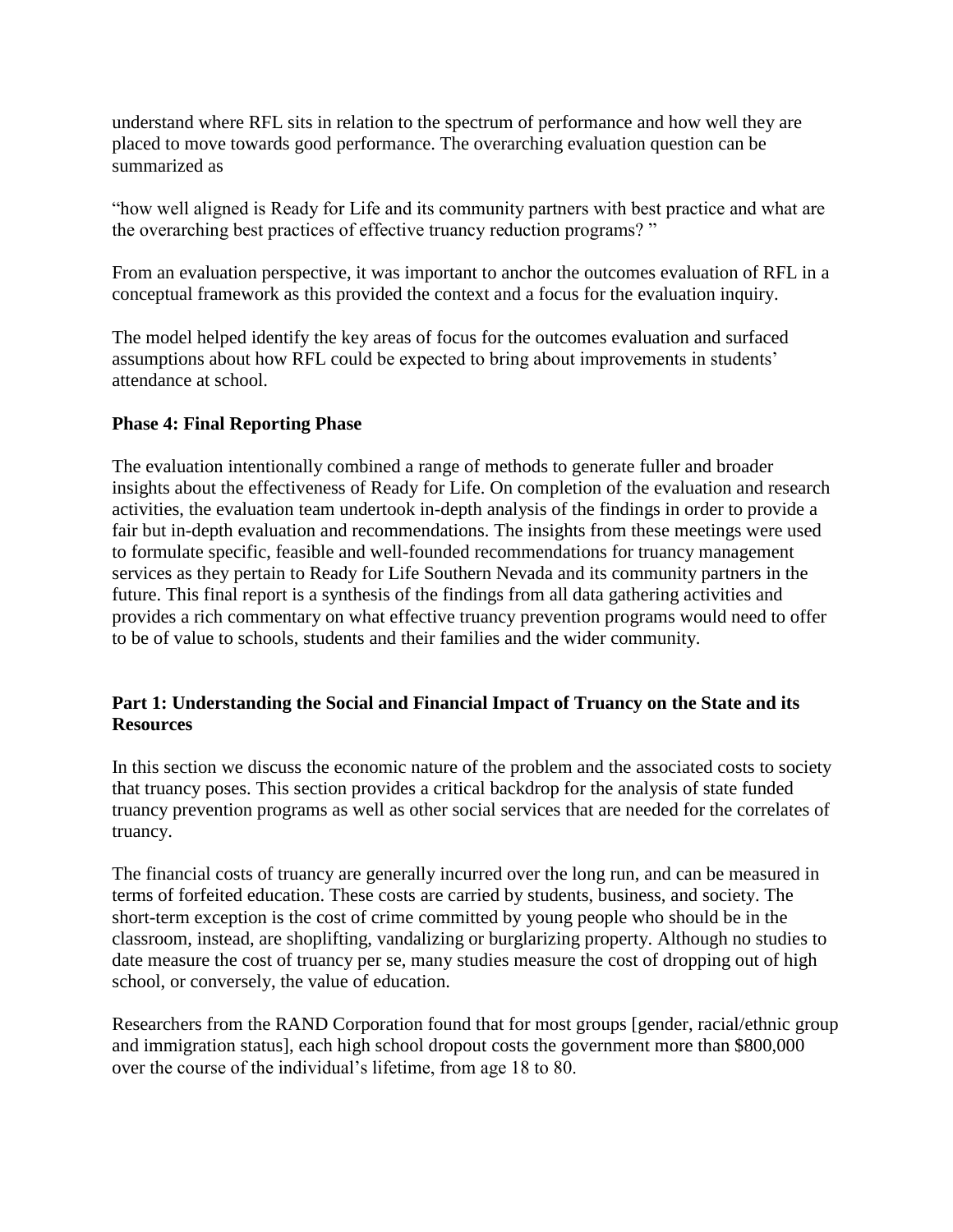understand where RFL sits in relation to the spectrum of performance and how well they are placed to move towards good performance. The overarching evaluation question can be summarized as

―how well aligned is Ready for Life and its community partners with best practice and what are the overarching best practices of effective truancy reduction programs? "

From an evaluation perspective, it was important to anchor the outcomes evaluation of RFL in a conceptual framework as this provided the context and a focus for the evaluation inquiry.

The model helped identify the key areas of focus for the outcomes evaluation and surfaced assumptions about how RFL could be expected to bring about improvements in students' attendance at school.

# **Phase 4: Final Reporting Phase**

The evaluation intentionally combined a range of methods to generate fuller and broader insights about the effectiveness of Ready for Life. On completion of the evaluation and research activities, the evaluation team undertook in-depth analysis of the findings in order to provide a fair but in-depth evaluation and recommendations. The insights from these meetings were used to formulate specific, feasible and well-founded recommendations for truancy management services as they pertain to Ready for Life Southern Nevada and its community partners in the future. This final report is a synthesis of the findings from all data gathering activities and provides a rich commentary on what effective truancy prevention programs would need to offer to be of value to schools, students and their families and the wider community.

# **Part 1: Understanding the Social and Financial Impact of Truancy on the State and its Resources**

In this section we discuss the economic nature of the problem and the associated costs to society that truancy poses. This section provides a critical backdrop for the analysis of state funded truancy prevention programs as well as other social services that are needed for the correlates of truancy.

The financial costs of truancy are generally incurred over the long run, and can be measured in terms of forfeited education. These costs are carried by students, business, and society. The short-term exception is the cost of crime committed by young people who should be in the classroom, instead, are shoplifting, vandalizing or burglarizing property. Although no studies to date measure the cost of truancy per se, many studies measure the cost of dropping out of high school, or conversely, the value of education.

Researchers from the RAND Corporation found that for most groups [gender, racial/ethnic group and immigration status], each high school dropout costs the government more than \$800,000 over the course of the individual's lifetime, from age 18 to 80.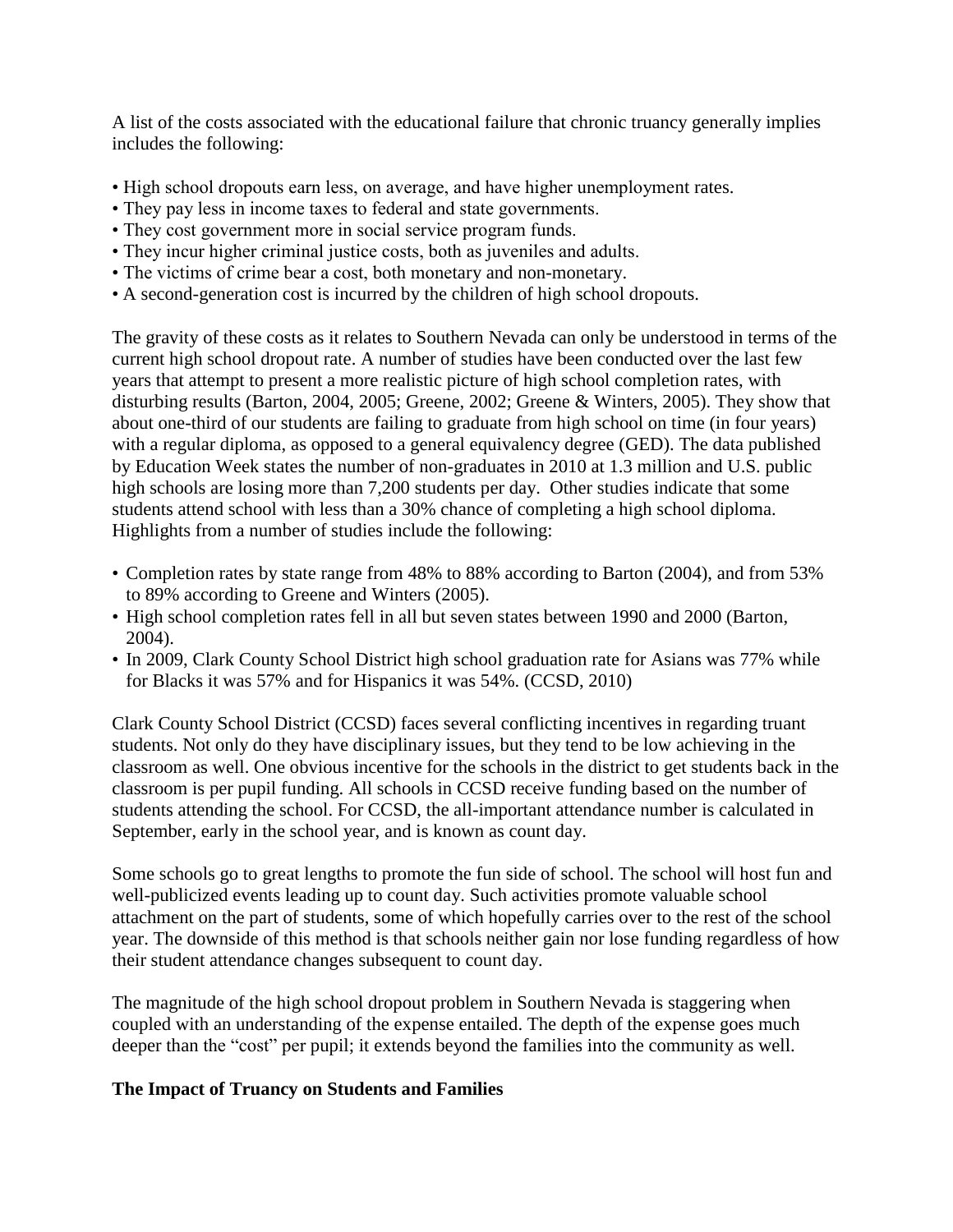A list of the costs associated with the educational failure that chronic truancy generally implies includes the following:

- High school dropouts earn less, on average, and have higher unemployment rates.
- They pay less in income taxes to federal and state governments.
- They cost government more in social service program funds.
- They incur higher criminal justice costs, both as juveniles and adults.
- The victims of crime bear a cost, both monetary and non-monetary.
- A second-generation cost is incurred by the children of high school dropouts.

The gravity of these costs as it relates to Southern Nevada can only be understood in terms of the current high school dropout rate. A number of studies have been conducted over the last few years that attempt to present a more realistic picture of high school completion rates, with disturbing results (Barton, 2004, 2005; Greene, 2002; Greene & Winters, 2005). They show that about one-third of our students are failing to graduate from high school on time (in four years) with a regular diploma, as opposed to a general equivalency degree (GED). The data published by Education Week states the number of non-graduates in 2010 at 1.3 million and U.S. public high schools are losing more than 7,200 students per day. Other studies indicate that some students attend school with less than a 30% chance of completing a high school diploma. Highlights from a number of studies include the following:

- Completion rates by state range from 48% to 88% according to Barton (2004), and from 53% to 89% according to Greene and Winters (2005).
- High school completion rates fell in all but seven states between 1990 and 2000 (Barton, 2004).
- In 2009, Clark County School District high school graduation rate for Asians was 77% while for Blacks it was 57% and for Hispanics it was 54%. (CCSD, 2010)

Clark County School District (CCSD) faces several conflicting incentives in regarding truant students. Not only do they have disciplinary issues, but they tend to be low achieving in the classroom as well. One obvious incentive for the schools in the district to get students back in the classroom is per pupil funding. All schools in CCSD receive funding based on the number of students attending the school. For CCSD, the all-important attendance number is calculated in September, early in the school year, and is known as count day.

Some schools go to great lengths to promote the fun side of school. The school will host fun and well-publicized events leading up to count day. Such activities promote valuable school attachment on the part of students, some of which hopefully carries over to the rest of the school year. The downside of this method is that schools neither gain nor lose funding regardless of how their student attendance changes subsequent to count day*.* 

The magnitude of the high school dropout problem in Southern Nevada is staggering when coupled with an understanding of the expense entailed. The depth of the expense goes much deeper than the "cost" per pupil; it extends beyond the families into the community as well.

# **The Impact of Truancy on Students and Families**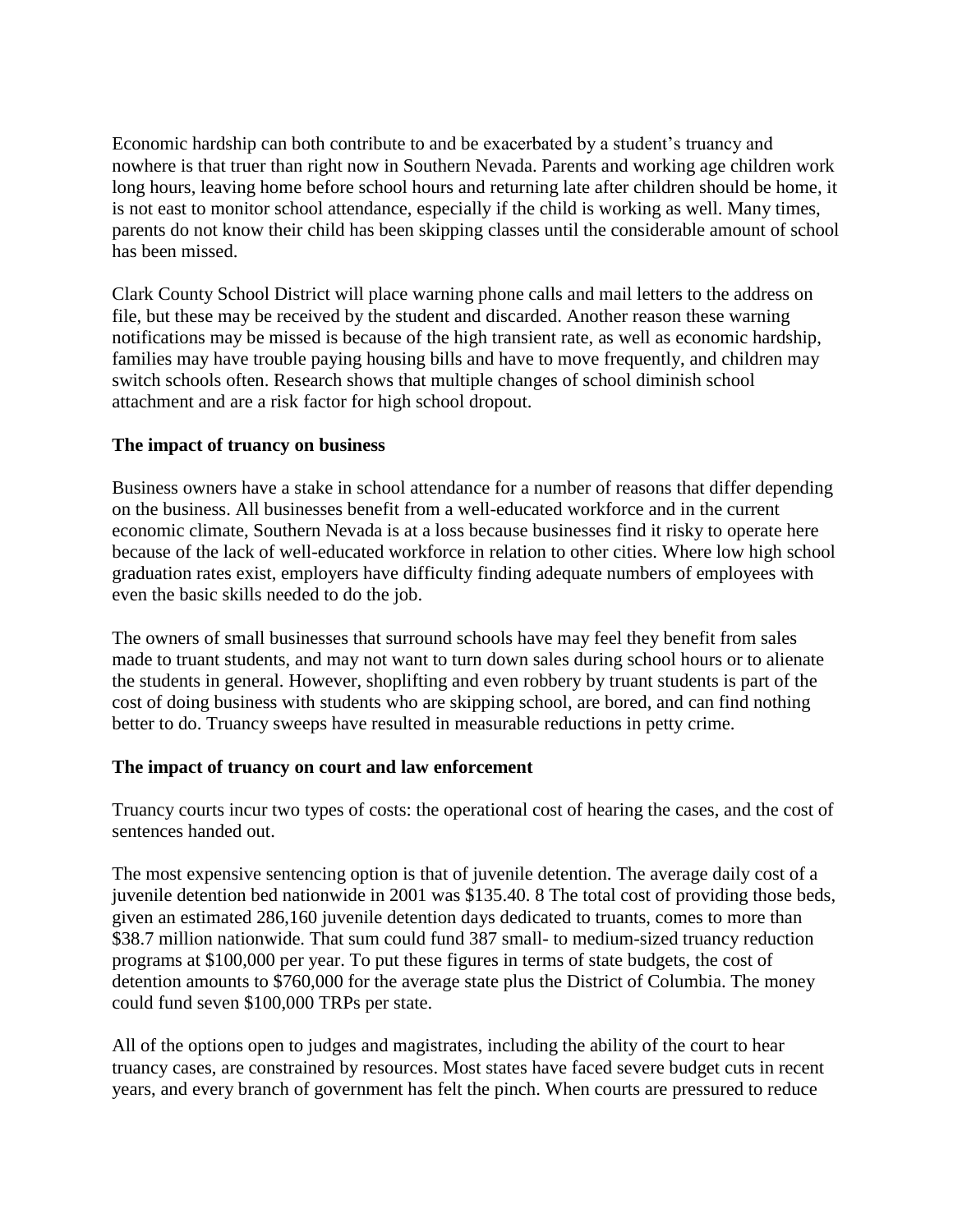Economic hardship can both contribute to and be exacerbated by a student's truancy and nowhere is that truer than right now in Southern Nevada. Parents and working age children work long hours, leaving home before school hours and returning late after children should be home, it is not east to monitor school attendance, especially if the child is working as well. Many times, parents do not know their child has been skipping classes until the considerable amount of school has been missed.

Clark County School District will place warning phone calls and mail letters to the address on file, but these may be received by the student and discarded. Another reason these warning notifications may be missed is because of the high transient rate, as well as economic hardship, families may have trouble paying housing bills and have to move frequently, and children may switch schools often. Research shows that multiple changes of school diminish school attachment and are a risk factor for high school dropout.

# **The impact of truancy on business**

Business owners have a stake in school attendance for a number of reasons that differ depending on the business. All businesses benefit from a well-educated workforce and in the current economic climate, Southern Nevada is at a loss because businesses find it risky to operate here because of the lack of well-educated workforce in relation to other cities. Where low high school graduation rates exist, employers have difficulty finding adequate numbers of employees with even the basic skills needed to do the job.

The owners of small businesses that surround schools have may feel they benefit from sales made to truant students, and may not want to turn down sales during school hours or to alienate the students in general. However, shoplifting and even robbery by truant students is part of the cost of doing business with students who are skipping school, are bored, and can find nothing better to do. Truancy sweeps have resulted in measurable reductions in petty crime.

# **The impact of truancy on court and law enforcement**

Truancy courts incur two types of costs: the operational cost of hearing the cases, and the cost of sentences handed out.

The most expensive sentencing option is that of juvenile detention. The average daily cost of a juvenile detention bed nationwide in 2001 was \$135.40. 8 The total cost of providing those beds, given an estimated 286,160 juvenile detention days dedicated to truants, comes to more than \$38.7 million nationwide. That sum could fund 387 small- to medium-sized truancy reduction programs at \$100,000 per year. To put these figures in terms of state budgets, the cost of detention amounts to \$760,000 for the average state plus the District of Columbia. The money could fund seven \$100,000 TRPs per state.

All of the options open to judges and magistrates, including the ability of the court to hear truancy cases, are constrained by resources. Most states have faced severe budget cuts in recent years, and every branch of government has felt the pinch. When courts are pressured to reduce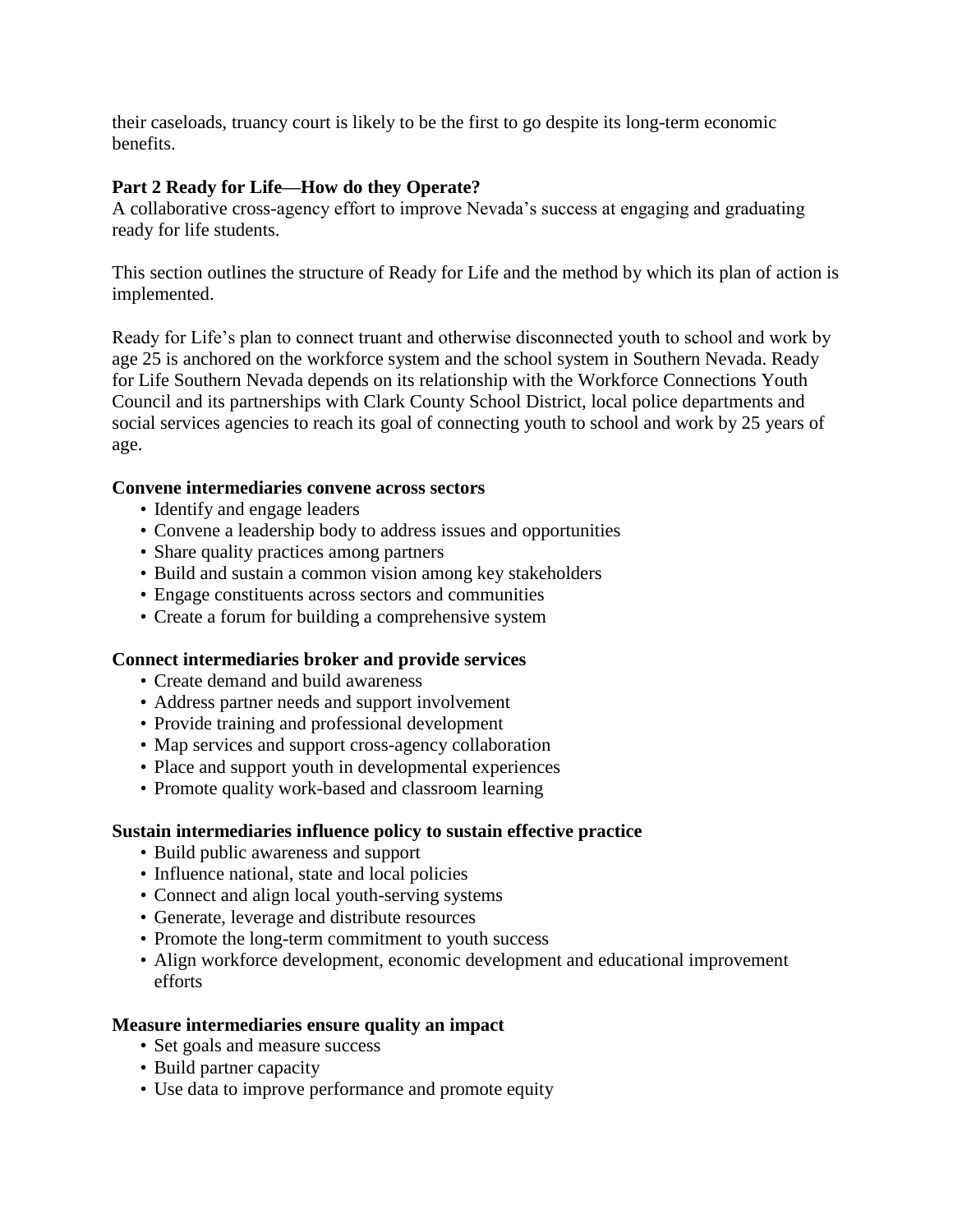their caseloads, truancy court is likely to be the first to go despite its long-term economic benefits.

# **Part 2 Ready for Life––How do they Operate?**

A collaborative cross-agency effort to improve Nevada's success at engaging and graduating ready for life students.

This section outlines the structure of Ready for Life and the method by which its plan of action is implemented.

Ready for Life's plan to connect truant and otherwise disconnected youth to school and work by age 25 is anchored on the workforce system and the school system in Southern Nevada. Ready for Life Southern Nevada depends on its relationship with the Workforce Connections Youth Council and its partnerships with Clark County School District, local police departments and social services agencies to reach its goal of connecting youth to school and work by 25 years of age.

# **Convene intermediaries convene across sectors**

- Identify and engage leaders
- Convene a leadership body to address issues and opportunities
- Share quality practices among partners
- Build and sustain a common vision among key stakeholders
- Engage constituents across sectors and communities
- Create a forum for building a comprehensive system

# **Connect intermediaries broker and provide services**

- Create demand and build awareness
- Address partner needs and support involvement
- Provide training and professional development
- Map services and support cross-agency collaboration
- Place and support youth in developmental experiences
- Promote quality work-based and classroom learning

# **Sustain intermediaries influence policy to sustain effective practice**

- Build public awareness and support
- Influence national, state and local policies
- Connect and align local youth-serving systems
- Generate, leverage and distribute resources
- Promote the long-term commitment to youth success
- Align workforce development, economic development and educational improvement efforts

# **Measure intermediaries ensure quality an impact**

- Set goals and measure success
- Build partner capacity
- Use data to improve performance and promote equity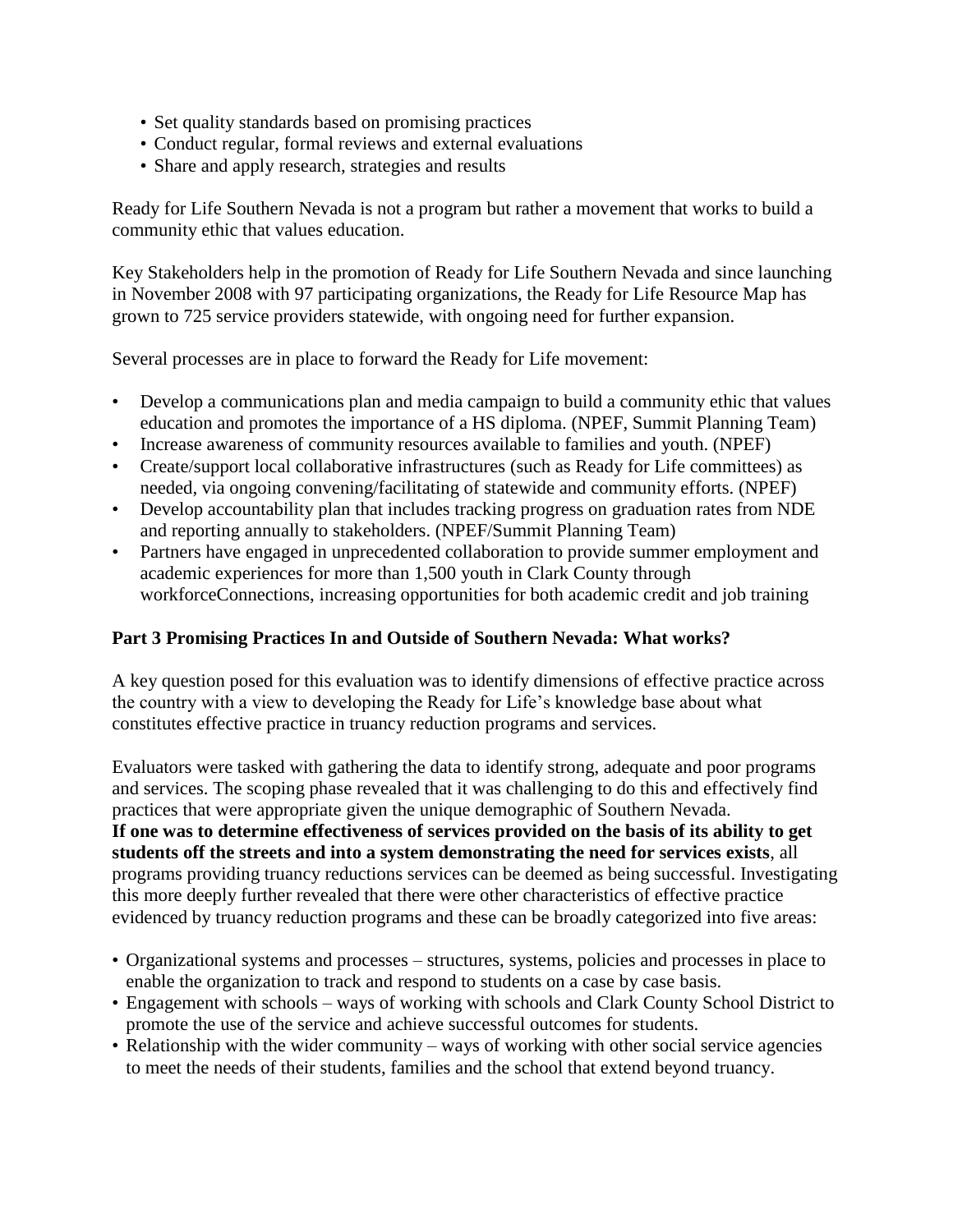- Set quality standards based on promising practices
- Conduct regular, formal reviews and external evaluations
- Share and apply research, strategies and results

Ready for Life Southern Nevada is not a program but rather a movement that works to build a community ethic that values education.

Key Stakeholders help in the promotion of Ready for Life Southern Nevada and since launching in November 2008 with 97 participating organizations, the Ready for Life Resource Map has grown to 725 service providers statewide, with ongoing need for further expansion.

Several processes are in place to forward the Ready for Life movement:

- Develop a communications plan and media campaign to build a community ethic that values education and promotes the importance of a HS diploma. (NPEF, Summit Planning Team)
- Increase awareness of community resources available to families and youth. (NPEF)
- Create/support local collaborative infrastructures (such as Ready for Life committees) as needed, via ongoing convening/facilitating of statewide and community efforts. (NPEF)
- Develop accountability plan that includes tracking progress on graduation rates from NDE and reporting annually to stakeholders. (NPEF/Summit Planning Team)
- Partners have engaged in unprecedented collaboration to provide summer employment and academic experiences for more than 1,500 youth in Clark County through workforceConnections, increasing opportunities for both academic credit and job training

# **Part 3 Promising Practices In and Outside of Southern Nevada: What works?**

A key question posed for this evaluation was to identify dimensions of effective practice across the country with a view to developing the Ready for Life's knowledge base about what constitutes effective practice in truancy reduction programs and services.

Evaluators were tasked with gathering the data to identify strong, adequate and poor programs and services. The scoping phase revealed that it was challenging to do this and effectively find practices that were appropriate given the unique demographic of Southern Nevada. **If one was to determine effectiveness of services provided on the basis of its ability to get students off the streets and into a system demonstrating the need for services exists**, all programs providing truancy reductions services can be deemed as being successful. Investigating this more deeply further revealed that there were other characteristics of effective practice evidenced by truancy reduction programs and these can be broadly categorized into five areas:

- Organizational systems and processes structures, systems, policies and processes in place to enable the organization to track and respond to students on a case by case basis.
- Engagement with schools ways of working with schools and Clark County School District to promote the use of the service and achieve successful outcomes for students.
- Relationship with the wider community ways of working with other social service agencies to meet the needs of their students, families and the school that extend beyond truancy.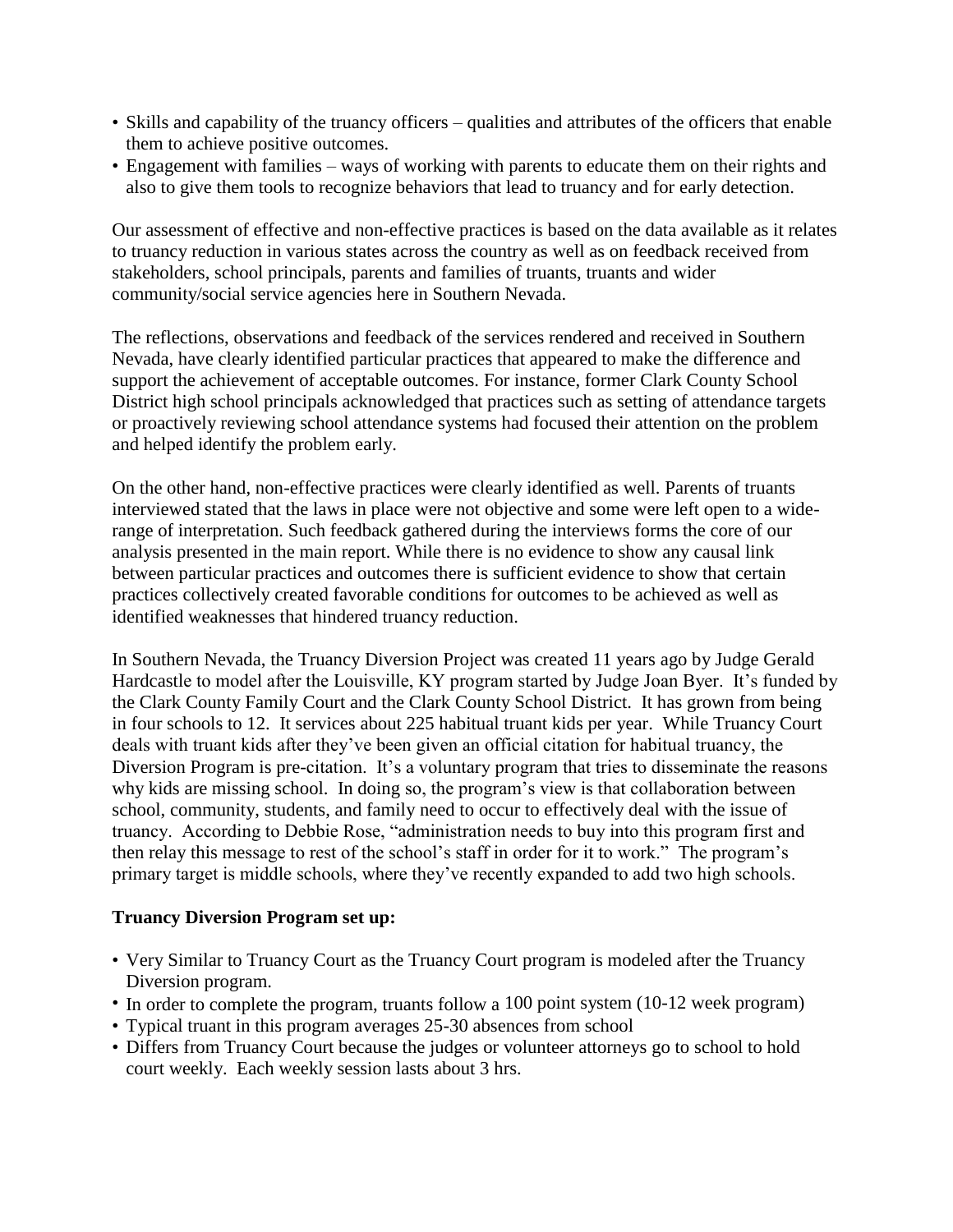- Skills and capability of the truancy officers qualities and attributes of the officers that enable them to achieve positive outcomes.
- Engagement with families ways of working with parents to educate them on their rights and also to give them tools to recognize behaviors that lead to truancy and for early detection.

Our assessment of effective and non-effective practices is based on the data available as it relates to truancy reduction in various states across the country as well as on feedback received from stakeholders, school principals, parents and families of truants, truants and wider community/social service agencies here in Southern Nevada.

The reflections, observations and feedback of the services rendered and received in Southern Nevada, have clearly identified particular practices that appeared to make the difference and support the achievement of acceptable outcomes. For instance, former Clark County School District high school principals acknowledged that practices such as setting of attendance targets or proactively reviewing school attendance systems had focused their attention on the problem and helped identify the problem early.

On the other hand, non-effective practices were clearly identified as well. Parents of truants interviewed stated that the laws in place were not objective and some were left open to a widerange of interpretation. Such feedback gathered during the interviews forms the core of our analysis presented in the main report. While there is no evidence to show any causal link between particular practices and outcomes there is sufficient evidence to show that certain practices collectively created favorable conditions for outcomes to be achieved as well as identified weaknesses that hindered truancy reduction.

In Southern Nevada, the Truancy Diversion Project was created 11 years ago by Judge Gerald Hardcastle to model after the Louisville, KY program started by Judge Joan Byer. It's funded by the Clark County Family Court and the Clark County School District. It has grown from being in four schools to 12. It services about 225 habitual truant kids per year. While Truancy Court deals with truant kids after they've been given an official citation for habitual truancy, the Diversion Program is pre-citation. It's a voluntary program that tries to disseminate the reasons why kids are missing school. In doing so, the program's view is that collaboration between school, community, students, and family need to occur to effectively deal with the issue of truancy. According to Debbie Rose, "administration needs to buy into this program first and then relay this message to rest of the school's staff in order for it to work." The program's primary target is middle schools, where they've recently expanded to add two high schools.

# **Truancy Diversion Program set up:**

- Very Similar to Truancy Court as the Truancy Court program is modeled after the Truancy Diversion program.
- In order to complete the program, truants follow a 100 point system (10-12 week program)
- Typical truant in this program averages 25-30 absences from school
- Differs from Truancy Court because the judges or volunteer attorneys go to school to hold court weekly. Each weekly session lasts about 3 hrs.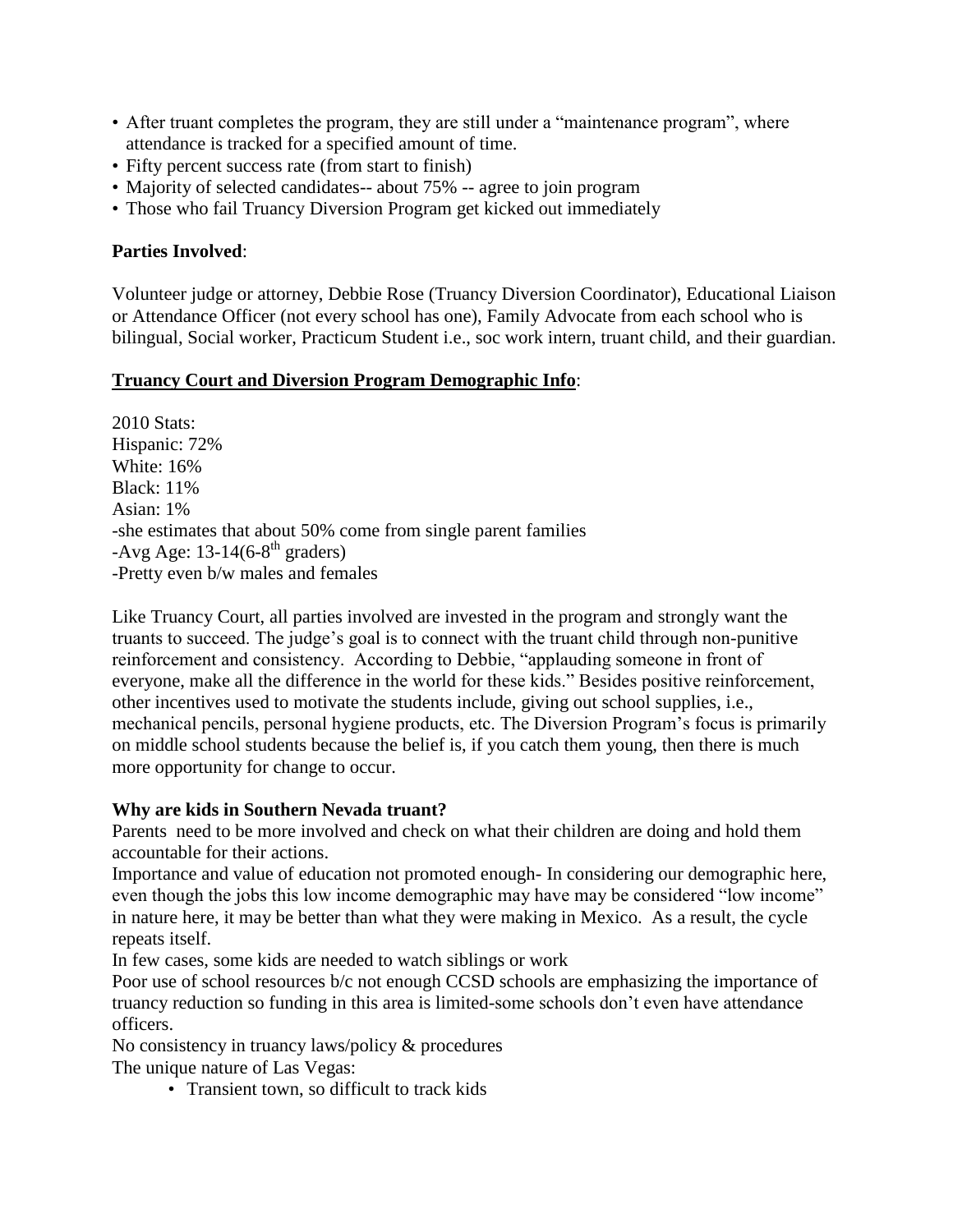- After truant completes the program, they are still under a "maintenance program", where attendance is tracked for a specified amount of time.
- Fifty percent success rate (from start to finish)
- Majority of selected candidates-- about 75% -- agree to join program
- Those who fail Truancy Diversion Program get kicked out immediately

# **Parties Involved**:

Volunteer judge or attorney, Debbie Rose (Truancy Diversion Coordinator), Educational Liaison or Attendance Officer (not every school has one), Family Advocate from each school who is bilingual, Social worker, Practicum Student i.e., soc work intern, truant child, and their guardian.

# **Truancy Court and Diversion Program Demographic Info**:

2010 Stats: Hispanic: 72% White: 16% Black: 11% Asian: 1% -she estimates that about 50% come from single parent families -Avg Age:  $13-14(6-8<sup>th</sup>$  graders) -Pretty even b/w males and females

Like Truancy Court, all parties involved are invested in the program and strongly want the truants to succeed. The judge's goal is to connect with the truant child through non-punitive reinforcement and consistency. According to Debbie, "applauding someone in front of everyone, make all the difference in the world for these kids." Besides positive reinforcement, other incentives used to motivate the students include, giving out school supplies, i.e., mechanical pencils, personal hygiene products, etc. The Diversion Program's focus is primarily on middle school students because the belief is, if you catch them young, then there is much more opportunity for change to occur.

# **Why are kids in Southern Nevada truant?**

Parents need to be more involved and check on what their children are doing and hold them accountable for their actions.

Importance and value of education not promoted enough- In considering our demographic here, even though the jobs this low income demographic may have may be considered "low income" in nature here, it may be better than what they were making in Mexico. As a result, the cycle repeats itself.

In few cases, some kids are needed to watch siblings or work

Poor use of school resources b/c not enough CCSD schools are emphasizing the importance of truancy reduction so funding in this area is limited-some schools don't even have attendance officers.

No consistency in truancy laws/policy & procedures The unique nature of Las Vegas:

• Transient town, so difficult to track kids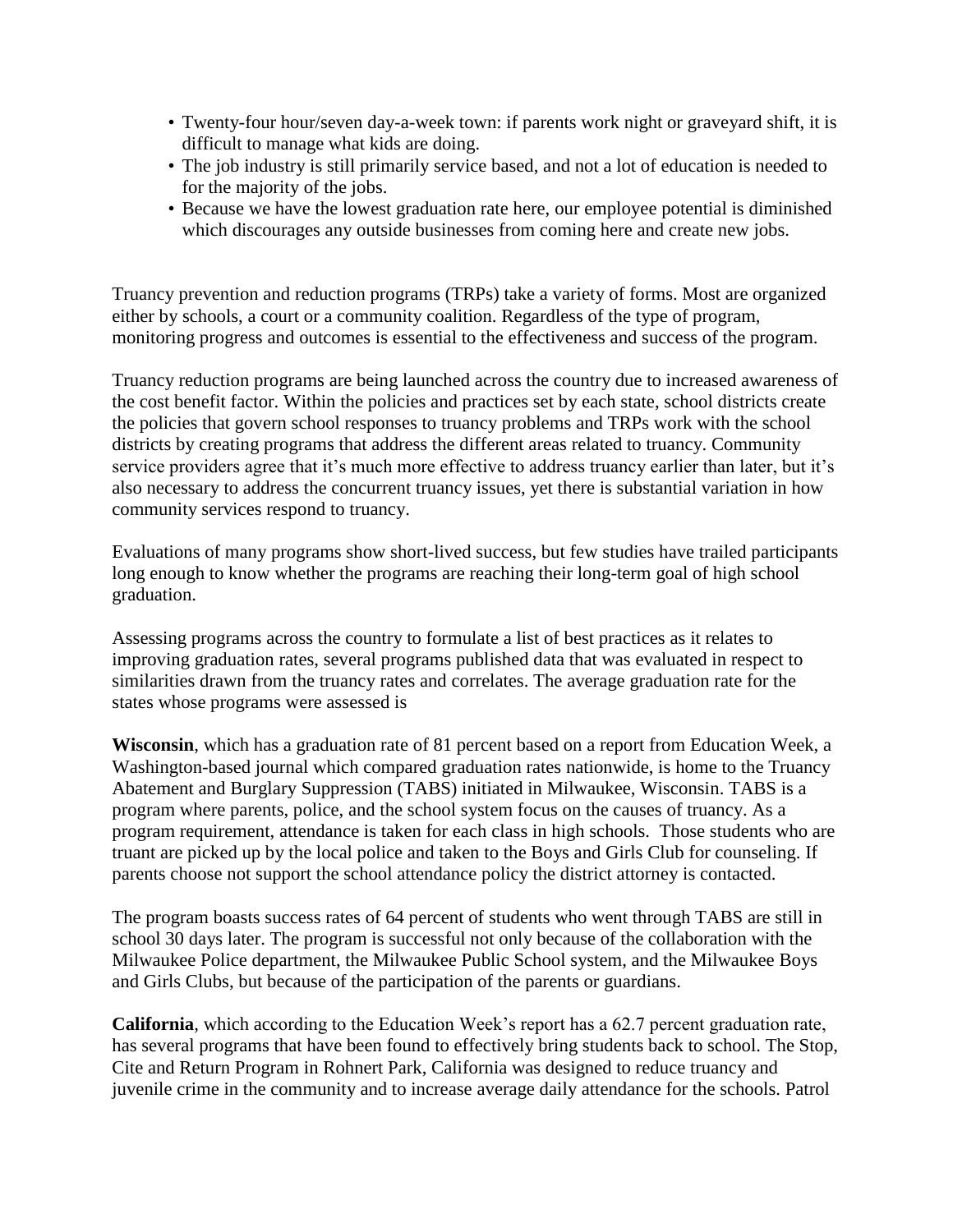- Twenty-four hour/seven day-a-week town: if parents work night or graveyard shift, it is difficult to manage what kids are doing.
- The job industry is still primarily service based, and not a lot of education is needed to for the majority of the jobs.
- Because we have the lowest graduation rate here, our employee potential is diminished which discourages any outside businesses from coming here and create new jobs.

Truancy prevention and reduction programs (TRPs) take a variety of forms. Most are organized either by schools, a court or a community coalition. Regardless of the type of program, monitoring progress and outcomes is essential to the effectiveness and success of the program.

Truancy reduction programs are being launched across the country due to increased awareness of the cost benefit factor. Within the policies and practices set by each state, school districts create the policies that govern school responses to truancy problems and TRPs work with the school districts by creating programs that address the different areas related to truancy. Community service providers agree that it's much more effective to address truancy earlier than later, but it's also necessary to address the concurrent truancy issues, yet there is substantial variation in how community services respond to truancy.

Evaluations of many programs show short-lived success, but few studies have trailed participants long enough to know whether the programs are reaching their long-term goal of high school graduation.

Assessing programs across the country to formulate a list of best practices as it relates to improving graduation rates, several programs published data that was evaluated in respect to similarities drawn from the truancy rates and correlates. The average graduation rate for the states whose programs were assessed is

**Wisconsin**, which has a graduation rate of 81 percent based on a report from Education Week, a Washington-based journal which compared graduation rates nationwide, is home to the Truancy Abatement and Burglary Suppression (TABS) initiated in Milwaukee, Wisconsin. TABS is a program where parents, police, and the school system focus on the causes of truancy. As a program requirement, attendance is taken for each class in high schools. Those students who are truant are picked up by the local police and taken to the Boys and Girls Club for counseling. If parents choose not support the school attendance policy the district attorney is contacted.

The program boasts success rates of 64 percent of students who went through TABS are still in school 30 days later. The program is successful not only because of the collaboration with the Milwaukee Police department, the Milwaukee Public School system, and the Milwaukee Boys and Girls Clubs, but because of the participation of the parents or guardians.

**California**, which according to the Education Week's report has a 62.7 percent graduation rate, has several programs that have been found to effectively bring students back to school. The Stop, Cite and Return Program in Rohnert Park, California was designed to reduce truancy and juvenile crime in the community and to increase average daily attendance for the schools. Patrol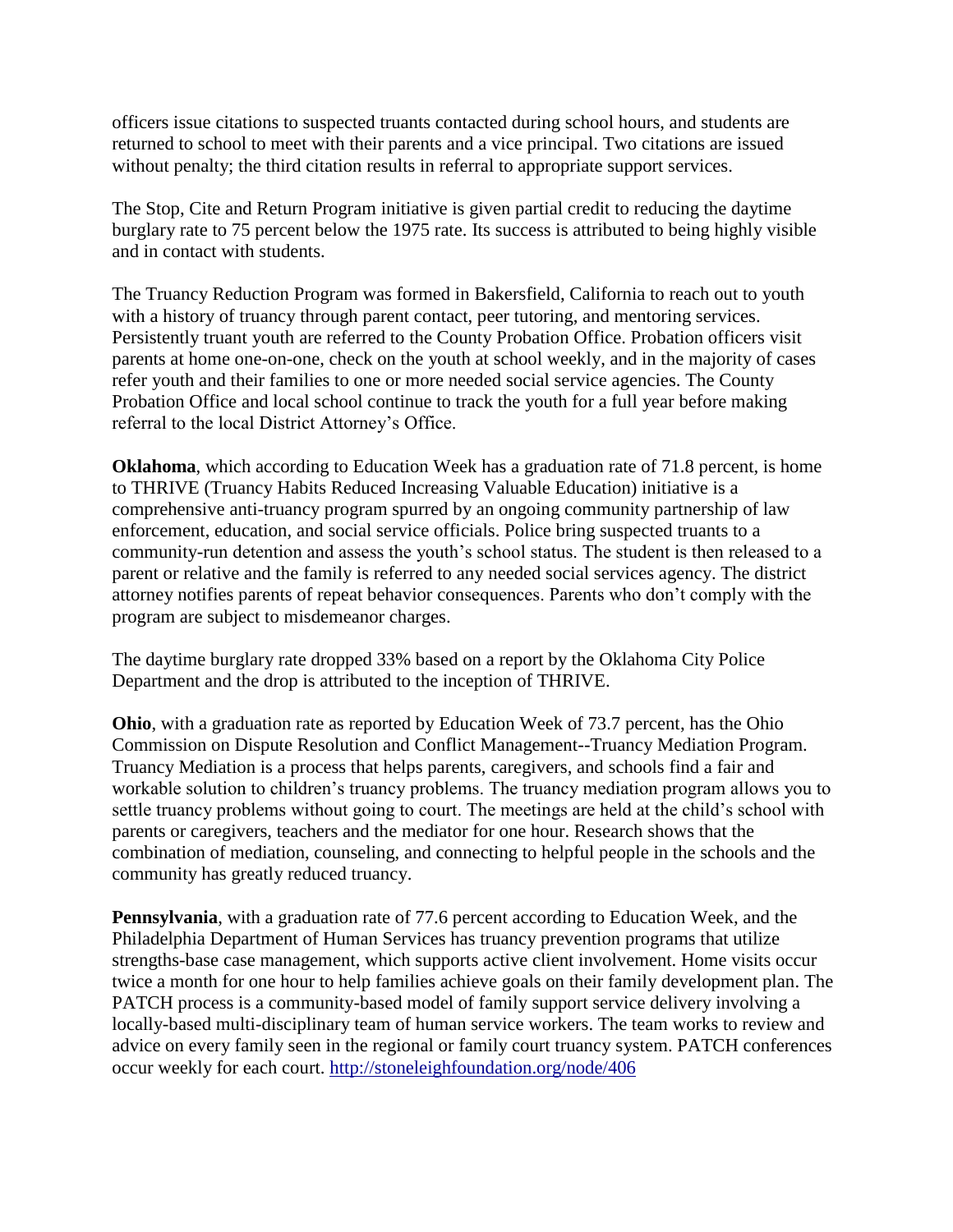officers issue citations to suspected truants contacted during school hours, and students are returned to school to meet with their parents and a vice principal. Two citations are issued without penalty; the third citation results in referral to appropriate support services.

The Stop, Cite and Return Program initiative is given partial credit to reducing the daytime burglary rate to 75 percent below the 1975 rate. Its success is attributed to being highly visible and in contact with students.

The Truancy Reduction Program was formed in Bakersfield, California to reach out to youth with a history of truancy through parent contact, peer tutoring, and mentoring services. Persistently truant youth are referred to the County Probation Office. Probation officers visit parents at home one-on-one, check on the youth at school weekly, and in the majority of cases refer youth and their families to one or more needed social service agencies. The County Probation Office and local school continue to track the youth for a full year before making referral to the local District Attorney's Office.

**Oklahoma**, which according to Education Week has a graduation rate of 71.8 percent, is home to THRIVE (Truancy Habits Reduced Increasing Valuable Education) initiative is a comprehensive anti-truancy program spurred by an ongoing community partnership of law enforcement, education, and social service officials. Police bring suspected truants to a community-run detention and assess the youth's school status. The student is then released to a parent or relative and the family is referred to any needed social services agency. The district attorney notifies parents of repeat behavior consequences. Parents who don't comply with the program are subject to misdemeanor charges.

The daytime burglary rate dropped 33% based on a report by the Oklahoma City Police Department and the drop is attributed to the inception of THRIVE.

**Ohio**, with a graduation rate as reported by Education Week of 73.7 percent, has the Ohio Commission on Dispute Resolution and Conflict Management--Truancy Mediation Program. Truancy Mediation is a process that helps parents, caregivers, and schools find a fair and workable solution to children's truancy problems. The truancy mediation program allows you to settle truancy problems without going to court. The meetings are held at the child's school with parents or caregivers, teachers and the mediator for one hour. Research shows that the combination of mediation, counseling, and connecting to helpful people in the schools and the community has greatly reduced truancy.

**Pennsylvania**, with a graduation rate of 77.6 percent according to Education Week, and the Philadelphia Department of Human Services has truancy prevention programs that utilize strengths-base case management, which supports active client involvement. Home visits occur twice a month for one hour to help families achieve goals on their family development plan. The PATCH process is a community-based model of family support service delivery involving a locally-based multi-disciplinary team of human service workers. The team works to review and advice on every family seen in the regional or family court truancy system. PATCH conferences occur weekly for each court.<http://stoneleighfoundation.org/node/406>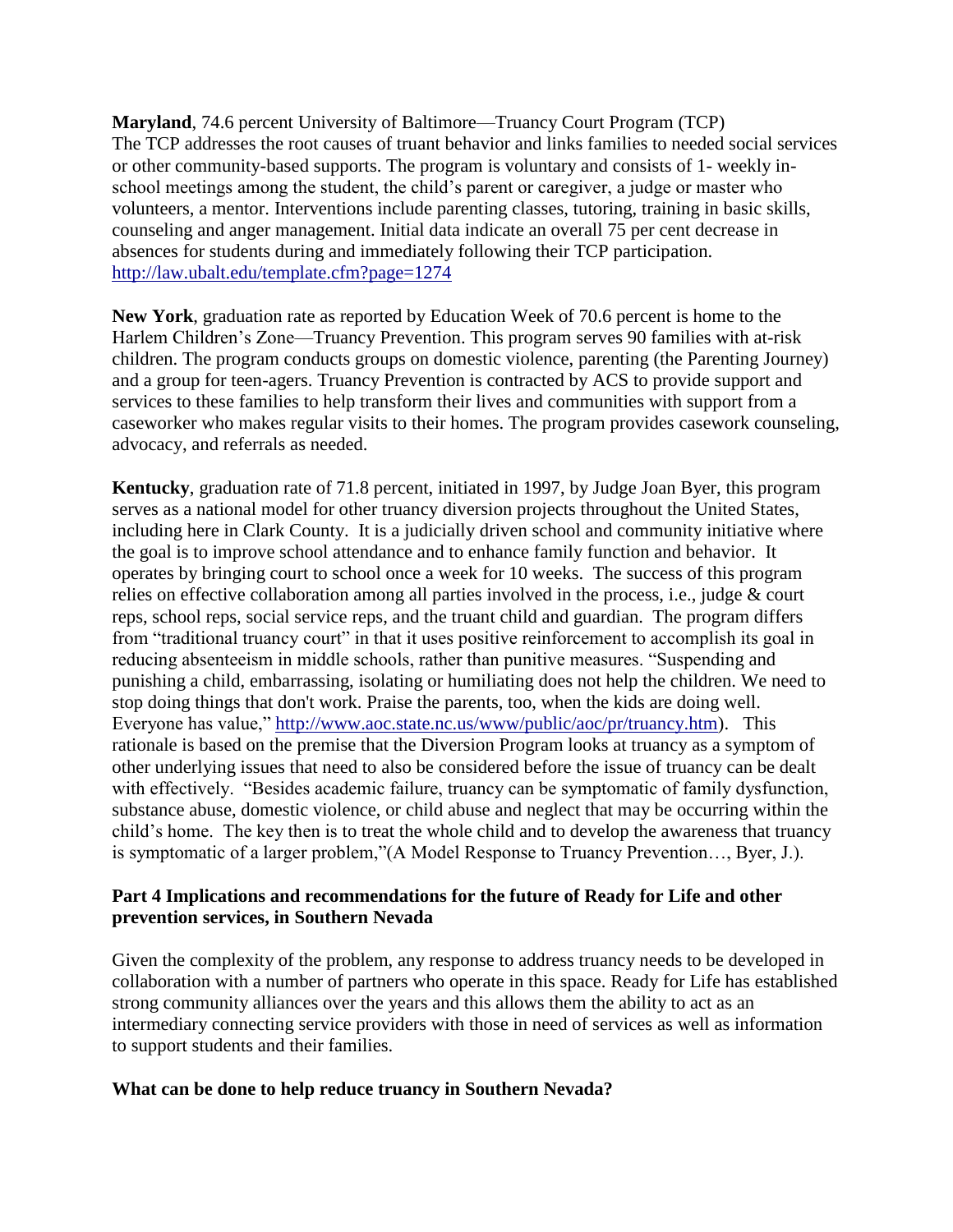**Maryland**, 74.6 percent University of Baltimore—Truancy Court Program (TCP) The TCP addresses the root causes of truant behavior and links families to needed social services or other community-based supports. The program is voluntary and consists of 1- weekly inschool meetings among the student, the child's parent or caregiver, a judge or master who volunteers, a mentor. Interventions include parenting classes, tutoring, training in basic skills, counseling and anger management. Initial data indicate an overall 75 per cent decrease in absences for students during and immediately following their TCP participation. <http://law.ubalt.edu/template.cfm?page=1274>

**New York**, graduation rate as reported by Education Week of 70.6 percent is home to the Harlem Children's Zone—Truancy Prevention. This program serves 90 families with at-risk children. The program conducts groups on domestic violence, parenting (the Parenting Journey) and a group for teen-agers. Truancy Prevention is contracted by ACS to provide support and services to these families to help transform their lives and communities with support from a caseworker who makes regular visits to their homes. The program provides casework counseling, advocacy, and referrals as needed.

**Kentucky**, graduation rate of 71.8 percent, initiated in 1997, by Judge Joan Byer, this program serves as a national model for other truancy diversion projects throughout the United States, including here in Clark County. It is a judicially driven school and community initiative where the goal is to improve school attendance and to enhance family function and behavior. It operates by bringing court to school once a week for 10 weeks. The success of this program relies on effective collaboration among all parties involved in the process, i.e., judge & court reps, school reps, social service reps, and the truant child and guardian. The program differs from "traditional truancy court" in that it uses positive reinforcement to accomplish its goal in reducing absenteeism in middle schools, rather than punitive measures. "Suspending and punishing a child, embarrassing, isolating or humiliating does not help the children. We need to stop doing things that don't work. Praise the parents, too, when the kids are doing well. Everyone has value," [http://www.aoc.state.nc.us/www/public/aoc/pr/truancy.htm\)](http://www.aoc.state.nc.us/www/public/aoc/pr/truancy.htm). This rationale is based on the premise that the Diversion Program looks at truancy as a symptom of other underlying issues that need to also be considered before the issue of truancy can be dealt with effectively. "Besides academic failure, truancy can be symptomatic of family dysfunction, substance abuse, domestic violence, or child abuse and neglect that may be occurring within the child's home. The key then is to treat the whole child and to develop the awareness that truancy is symptomatic of a larger problem,"(A Model Response to Truancy Prevention..., Byer, J.).

# **Part 4 Implications and recommendations for the future of Ready for Life and other prevention services, in Southern Nevada**

Given the complexity of the problem, any response to address truancy needs to be developed in collaboration with a number of partners who operate in this space. Ready for Life has established strong community alliances over the years and this allows them the ability to act as an intermediary connecting service providers with those in need of services as well as information to support students and their families.

# **What can be done to help reduce truancy in Southern Nevada?**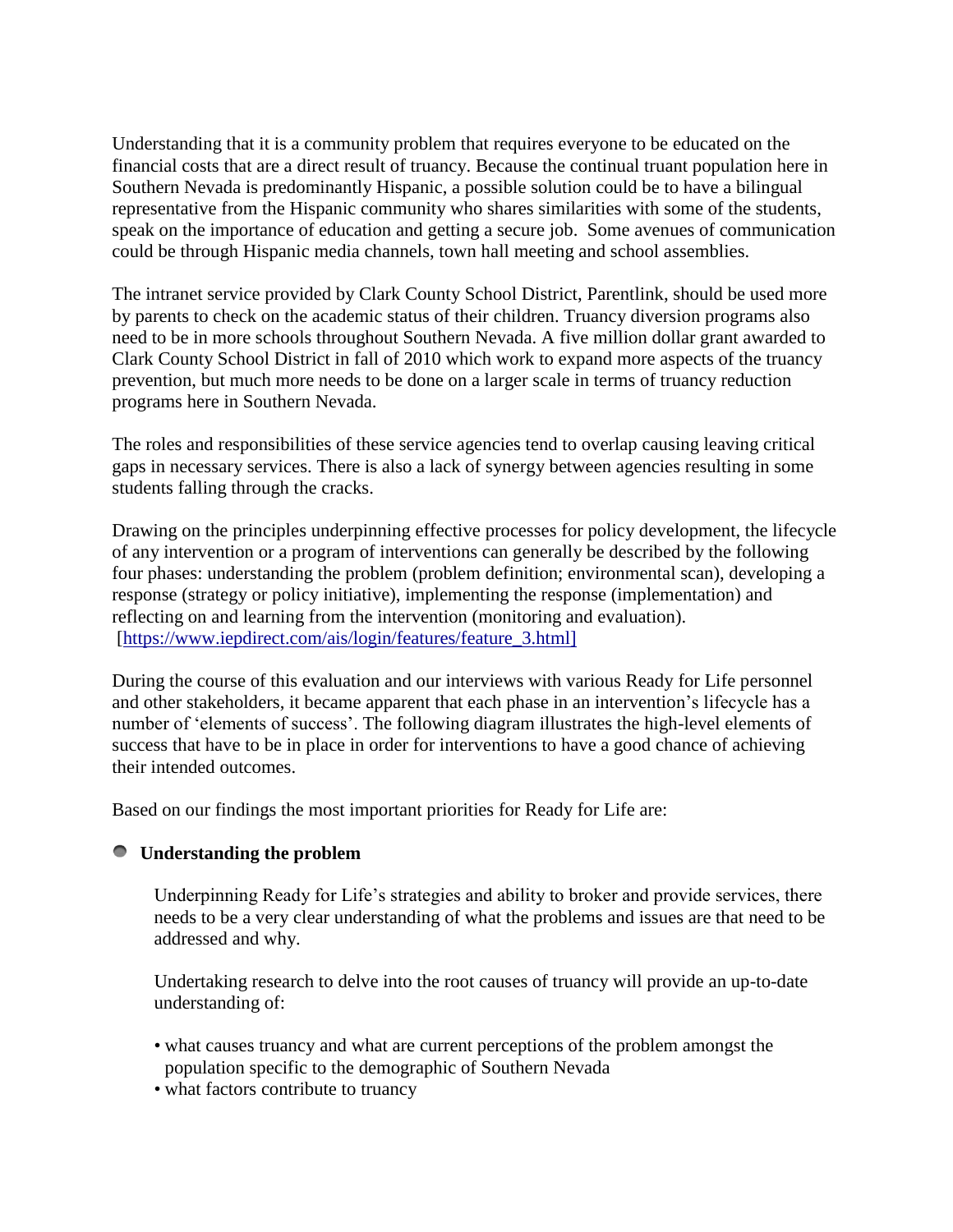Understanding that it is a community problem that requires everyone to be educated on the financial costs that are a direct result of truancy. Because the continual truant population here in Southern Nevada is predominantly Hispanic, a possible solution could be to have a bilingual representative from the Hispanic community who shares similarities with some of the students, speak on the importance of education and getting a secure job. Some avenues of communication could be through Hispanic media channels, town hall meeting and school assemblies.

The intranet service provided by Clark County School District, Parentlink, should be used more by parents to check on the academic status of their children. Truancy diversion programs also need to be in more schools throughout Southern Nevada. A five million dollar grant awarded to Clark County School District in fall of 2010 which work to expand more aspects of the truancy prevention, but much more needs to be done on a larger scale in terms of truancy reduction programs here in Southern Nevada.

The roles and responsibilities of these service agencies tend to overlap causing leaving critical gaps in necessary services. There is also a lack of synergy between agencies resulting in some students falling through the cracks.

Drawing on the principles underpinning effective processes for policy development, the lifecycle of any intervention or a program of interventions can generally be described by the following four phases: understanding the problem (problem definition; environmental scan), developing a response (strategy or policy initiative), implementing the response (implementation) and reflecting on and learning from the intervention (monitoring and evaluation). [\[https://www.iepdirect.com/ais/login/features/feature\\_3.html\]](https://www.iepdirect.com/ais/login/features/feature_3.html%5D)

During the course of this evaluation and our interviews with various Ready for Life personnel and other stakeholders, it became apparent that each phase in an intervention's lifecycle has a number of 'elements of success'. The following diagram illustrates the high-level elements of success that have to be in place in order for interventions to have a good chance of achieving their intended outcomes.

Based on our findings the most important priorities for Ready for Life are:

# **Understanding the problem**

Underpinning Ready for Life's strategies and ability to broker and provide services, there needs to be a very clear understanding of what the problems and issues are that need to be addressed and why.

Undertaking research to delve into the root causes of truancy will provide an up-to-date understanding of:

- what causes truancy and what are current perceptions of the problem amongst the population specific to the demographic of Southern Nevada
- what factors contribute to truancy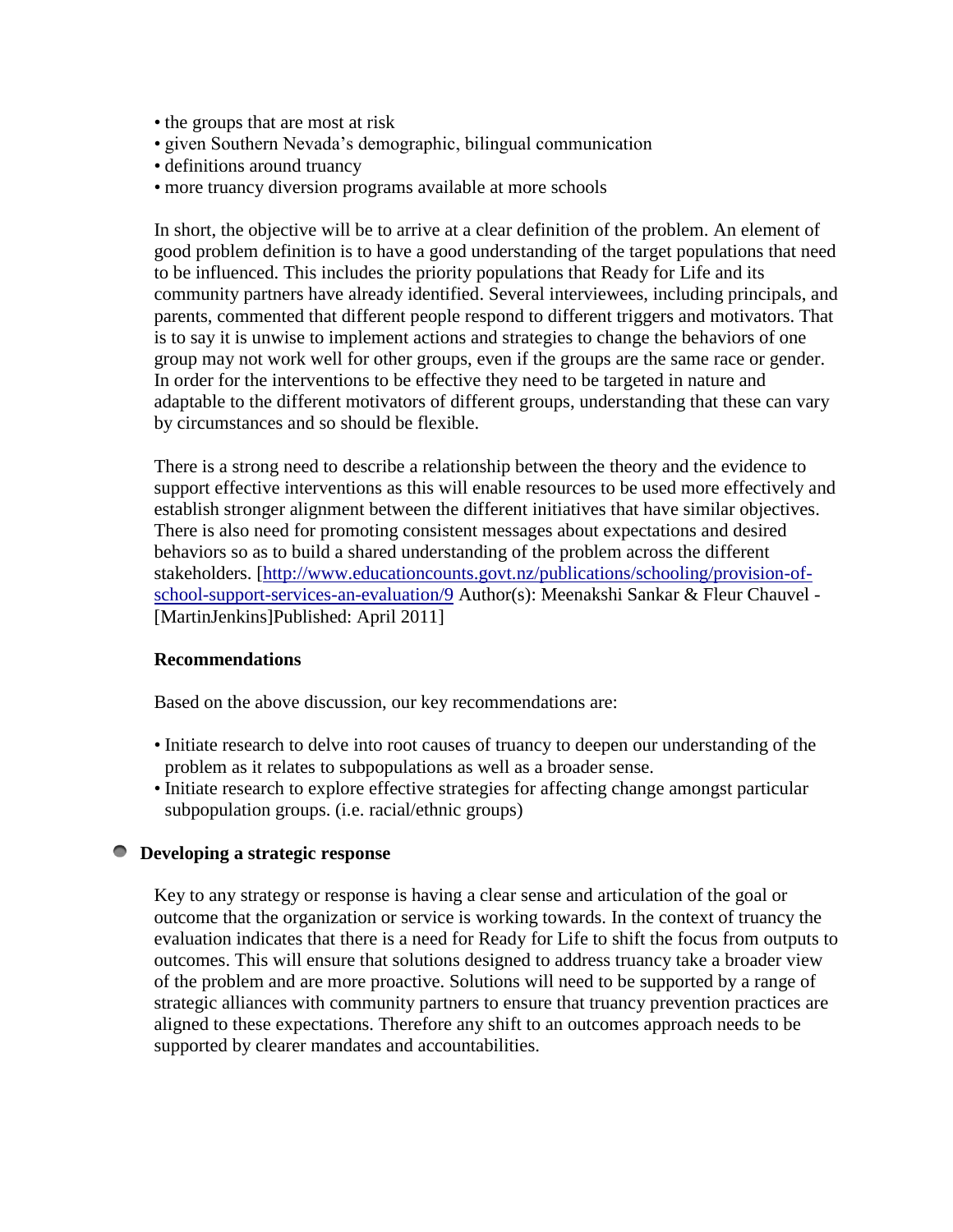- the groups that are most at risk
- given Southern Nevada's demographic, bilingual communication
- definitions around truancy
- more truancy diversion programs available at more schools

In short, the objective will be to arrive at a clear definition of the problem. An element of good problem definition is to have a good understanding of the target populations that need to be influenced. This includes the priority populations that Ready for Life and its community partners have already identified. Several interviewees, including principals, and parents, commented that different people respond to different triggers and motivators. That is to say it is unwise to implement actions and strategies to change the behaviors of one group may not work well for other groups, even if the groups are the same race or gender. In order for the interventions to be effective they need to be targeted in nature and adaptable to the different motivators of different groups, understanding that these can vary by circumstances and so should be flexible.

There is a strong need to describe a relationship between the theory and the evidence to support effective interventions as this will enable resources to be used more effectively and establish stronger alignment between the different initiatives that have similar objectives. There is also need for promoting consistent messages about expectations and desired behaviors so as to build a shared understanding of the problem across the different stakeholders. [\[http://www.educationcounts.govt.nz/publications/schooling/provision-of](http://www.educationcounts.govt.nz/publications/schooling/provision-of-school-support-services-an-evaluation/9)[school-support-services-an-evaluation/9](http://www.educationcounts.govt.nz/publications/schooling/provision-of-school-support-services-an-evaluation/9) Author(s): Meenakshi Sankar & Fleur Chauvel - [MartinJenkins]Published: April 2011]

# **Recommendations**

Based on the above discussion, our key recommendations are:

- Initiate research to delve into root causes of truancy to deepen our understanding of the problem as it relates to subpopulations as well as a broader sense.
- Initiate research to explore effective strategies for affecting change amongst particular subpopulation groups. (i.e. racial/ethnic groups)

# **Developing a strategic response**

Key to any strategy or response is having a clear sense and articulation of the goal or outcome that the organization or service is working towards. In the context of truancy the evaluation indicates that there is a need for Ready for Life to shift the focus from outputs to outcomes. This will ensure that solutions designed to address truancy take a broader view of the problem and are more proactive. Solutions will need to be supported by a range of strategic alliances with community partners to ensure that truancy prevention practices are aligned to these expectations. Therefore any shift to an outcomes approach needs to be supported by clearer mandates and accountabilities.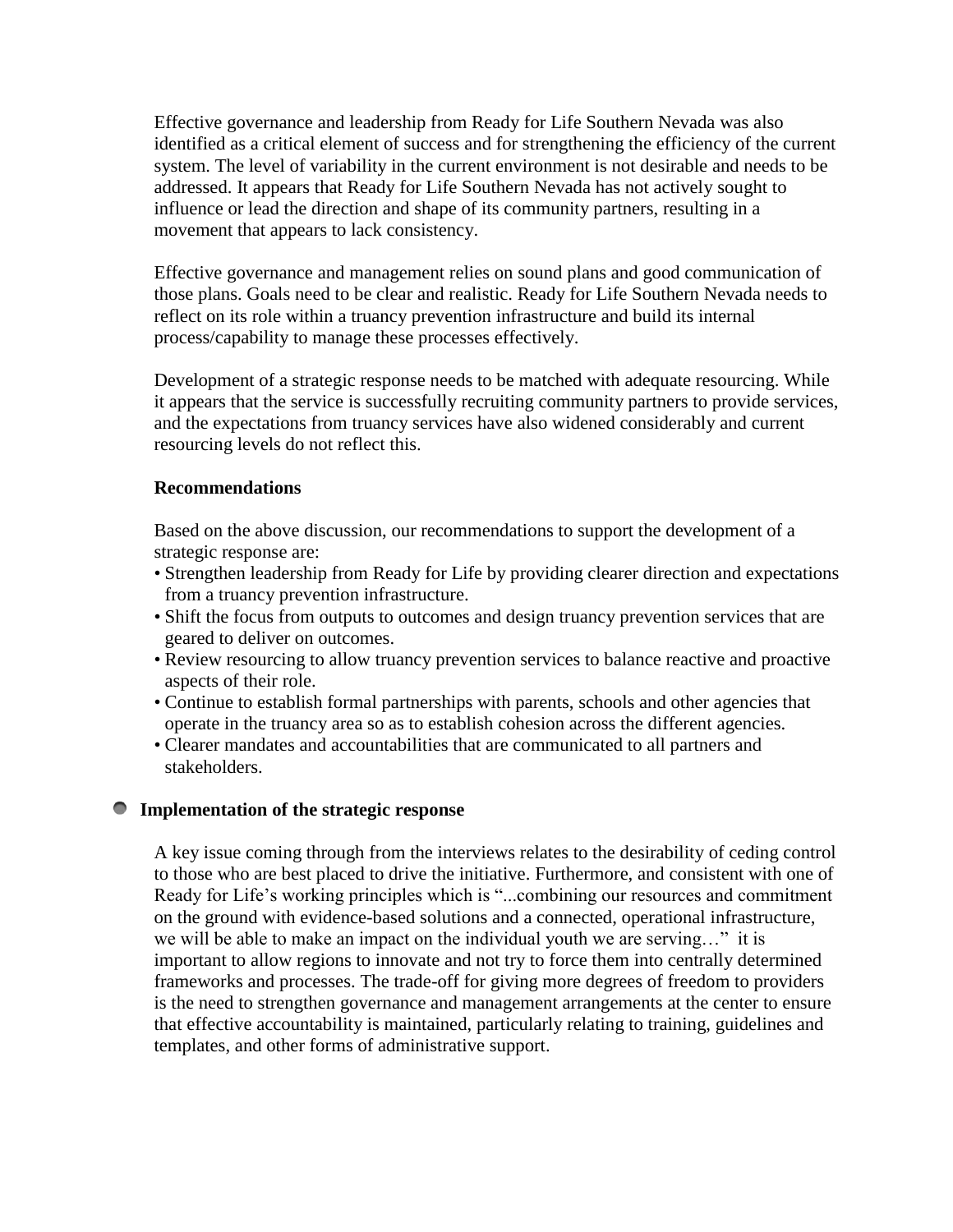Effective governance and leadership from Ready for Life Southern Nevada was also identified as a critical element of success and for strengthening the efficiency of the current system. The level of variability in the current environment is not desirable and needs to be addressed. It appears that Ready for Life Southern Nevada has not actively sought to influence or lead the direction and shape of its community partners, resulting in a movement that appears to lack consistency.

Effective governance and management relies on sound plans and good communication of those plans. Goals need to be clear and realistic. Ready for Life Southern Nevada needs to reflect on its role within a truancy prevention infrastructure and build its internal process/capability to manage these processes effectively.

Development of a strategic response needs to be matched with adequate resourcing. While it appears that the service is successfully recruiting community partners to provide services, and the expectations from truancy services have also widened considerably and current resourcing levels do not reflect this.

# **Recommendations**

Based on the above discussion, our recommendations to support the development of a strategic response are:

- Strengthen leadership from Ready for Life by providing clearer direction and expectations from a truancy prevention infrastructure.
- Shift the focus from outputs to outcomes and design truancy prevention services that are geared to deliver on outcomes.
- Review resourcing to allow truancy prevention services to balance reactive and proactive aspects of their role.
- Continue to establish formal partnerships with parents, schools and other agencies that operate in the truancy area so as to establish cohesion across the different agencies.
- Clearer mandates and accountabilities that are communicated to all partners and stakeholders.

# **Implementation of the strategic response**

A key issue coming through from the interviews relates to the desirability of ceding control to those who are best placed to drive the initiative. Furthermore, and consistent with one of Ready for Life's working principles which is "...combining our resources and commitment on the ground with evidence-based solutions and a connected, operational infrastructure, we will be able to make an impact on the individual youth we are serving..." it is important to allow regions to innovate and not try to force them into centrally determined frameworks and processes. The trade-off for giving more degrees of freedom to providers is the need to strengthen governance and management arrangements at the center to ensure that effective accountability is maintained, particularly relating to training, guidelines and templates, and other forms of administrative support.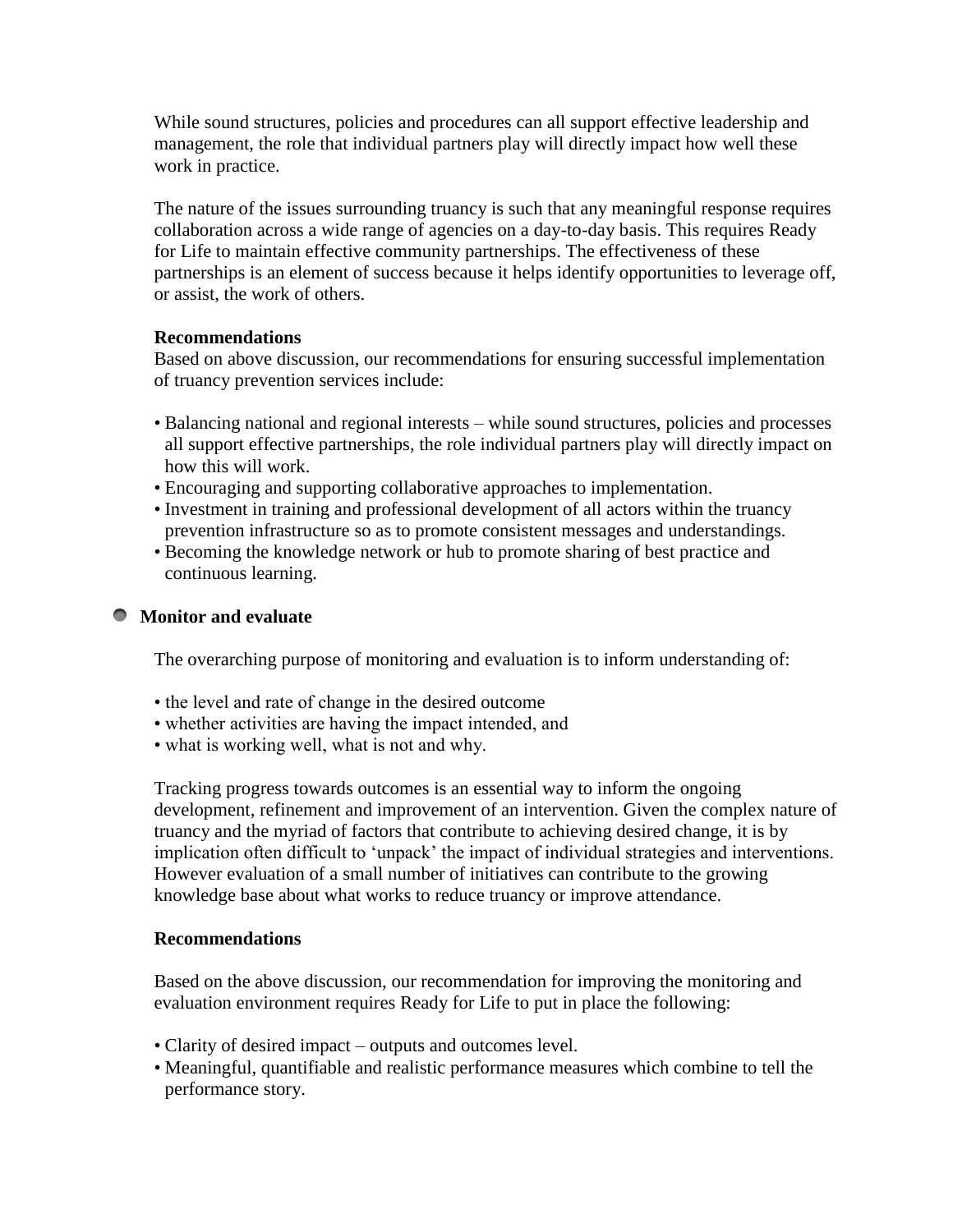While sound structures, policies and procedures can all support effective leadership and management, the role that individual partners play will directly impact how well these work in practice.

The nature of the issues surrounding truancy is such that any meaningful response requires collaboration across a wide range of agencies on a day-to-day basis. This requires Ready for Life to maintain effective community partnerships. The effectiveness of these partnerships is an element of success because it helps identify opportunities to leverage off, or assist, the work of others.

# **Recommendations**

Based on above discussion, our recommendations for ensuring successful implementation of truancy prevention services include:

- Balancing national and regional interests while sound structures, policies and processes all support effective partnerships, the role individual partners play will directly impact on how this will work.
- Encouraging and supporting collaborative approaches to implementation.
- Investment in training and professional development of all actors within the truancy prevention infrastructure so as to promote consistent messages and understandings.
- Becoming the knowledge network or hub to promote sharing of best practice and continuous learning.

# **Monitor and evaluate**

The overarching purpose of monitoring and evaluation is to inform understanding of:

- the level and rate of change in the desired outcome
- whether activities are having the impact intended, and
- what is working well, what is not and why.

Tracking progress towards outcomes is an essential way to inform the ongoing development, refinement and improvement of an intervention. Given the complex nature of truancy and the myriad of factors that contribute to achieving desired change, it is by implication often difficult to 'unpack' the impact of individual strategies and interventions. However evaluation of a small number of initiatives can contribute to the growing knowledge base about what works to reduce truancy or improve attendance.

# **Recommendations**

Based on the above discussion, our recommendation for improving the monitoring and evaluation environment requires Ready for Life to put in place the following:

- Clarity of desired impact outputs and outcomes level.
- Meaningful, quantifiable and realistic performance measures which combine to tell the performance story.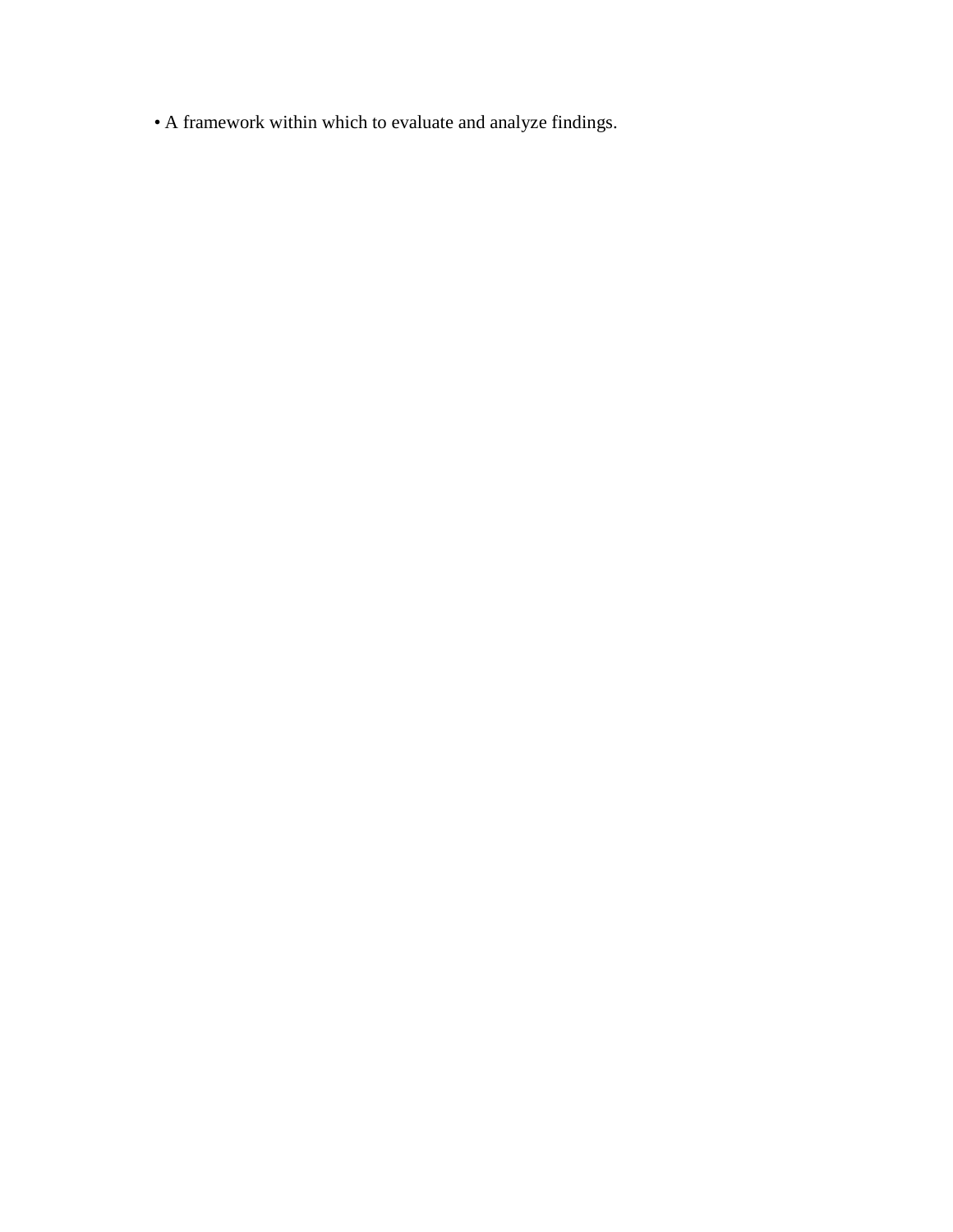• A framework within which to evaluate and analyze findings.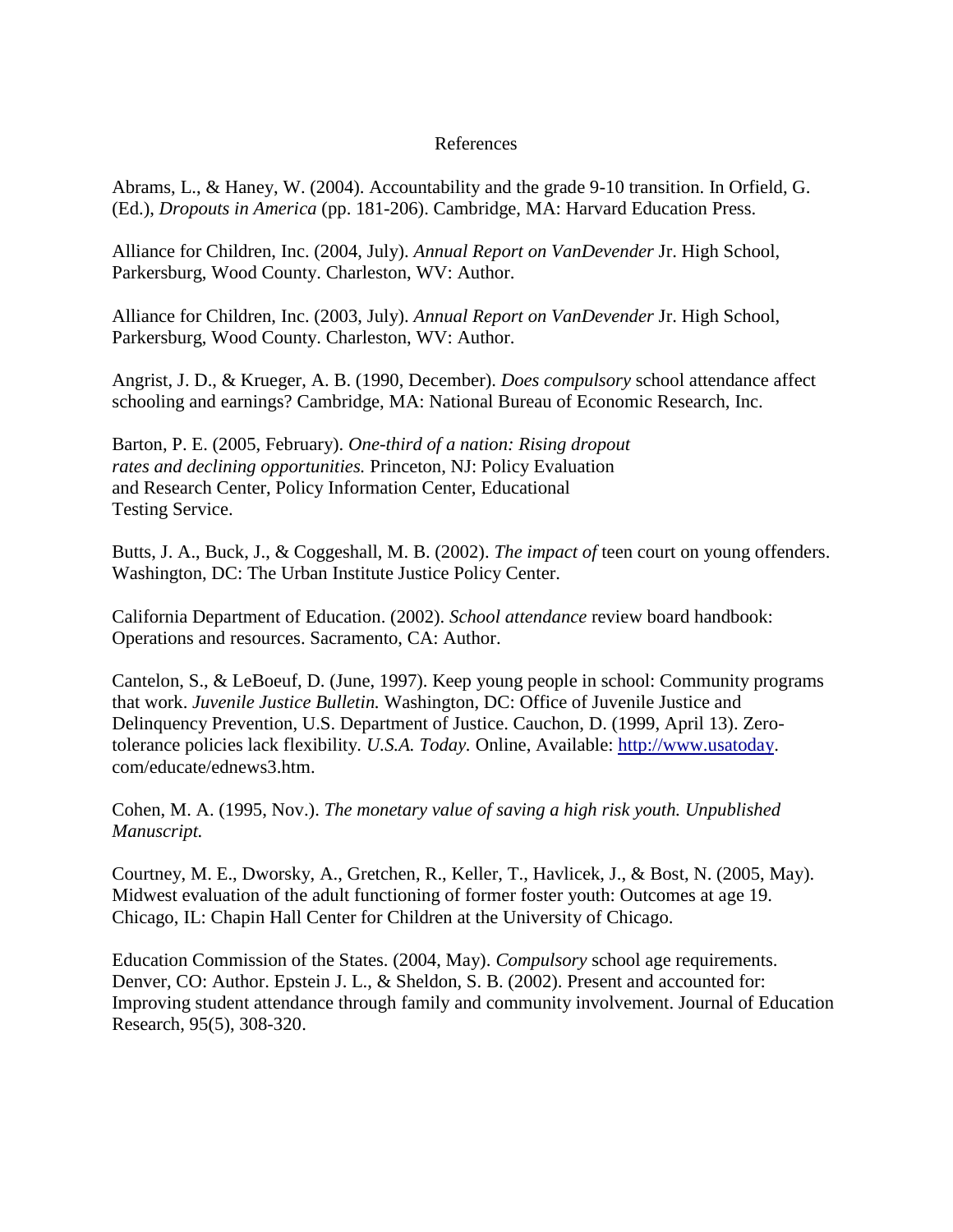#### References

Abrams, L., & Haney, W. (2004). Accountability and the grade 9-10 transition. In Orfield, G. (Ed.), *Dropouts in America* (pp. 181-206). Cambridge, MA: Harvard Education Press.

Alliance for Children, Inc. (2004, July). *Annual Report on VanDevender* Jr. High School, Parkersburg, Wood County. Charleston, WV: Author.

Alliance for Children, Inc. (2003, July). *Annual Report on VanDevender* Jr. High School, Parkersburg, Wood County. Charleston, WV: Author.

Angrist, J. D., & Krueger, A. B. (1990, December). *Does compulsory* school attendance affect schooling and earnings? Cambridge, MA: National Bureau of Economic Research, Inc.

Barton, P. E. (2005, February). *One-third of a nation: Rising dropout rates and declining opportunities.* Princeton, NJ: Policy Evaluation and Research Center, Policy Information Center, Educational Testing Service.

Butts, J. A., Buck, J., & Coggeshall, M. B. (2002). *The impact of* teen court on young offenders. Washington, DC: The Urban Institute Justice Policy Center.

California Department of Education. (2002). *School attendance* review board handbook: Operations and resources. Sacramento, CA: Author.

Cantelon, S., & LeBoeuf, D. (June, 1997). Keep young people in school: Community programs that work. *Juvenile Justice Bulletin.* Washington, DC: Office of Juvenile Justice and Delinquency Prevention, U.S. Department of Justice. Cauchon, D. (1999, April 13). Zerotolerance policies lack flexibility. *U.S.A. Today.* Online, Available: [http://www.usatoday.](http://www.usatoday/) com/educate/ednews3.htm.

Cohen, M. A. (1995, Nov.). *The monetary value of saving a high risk youth. Unpublished Manuscript.*

Courtney, M. E., Dworsky, A., Gretchen, R., Keller, T., Havlicek, J., & Bost, N. (2005, May). Midwest evaluation of the adult functioning of former foster youth: Outcomes at age 19. Chicago, IL: Chapin Hall Center for Children at the University of Chicago.

Education Commission of the States. (2004, May). *Compulsory* school age requirements. Denver, CO: Author. Epstein J. L., & Sheldon, S. B. (2002). Present and accounted for: Improving student attendance through family and community involvement. Journal of Education Research, 95(5), 308-320.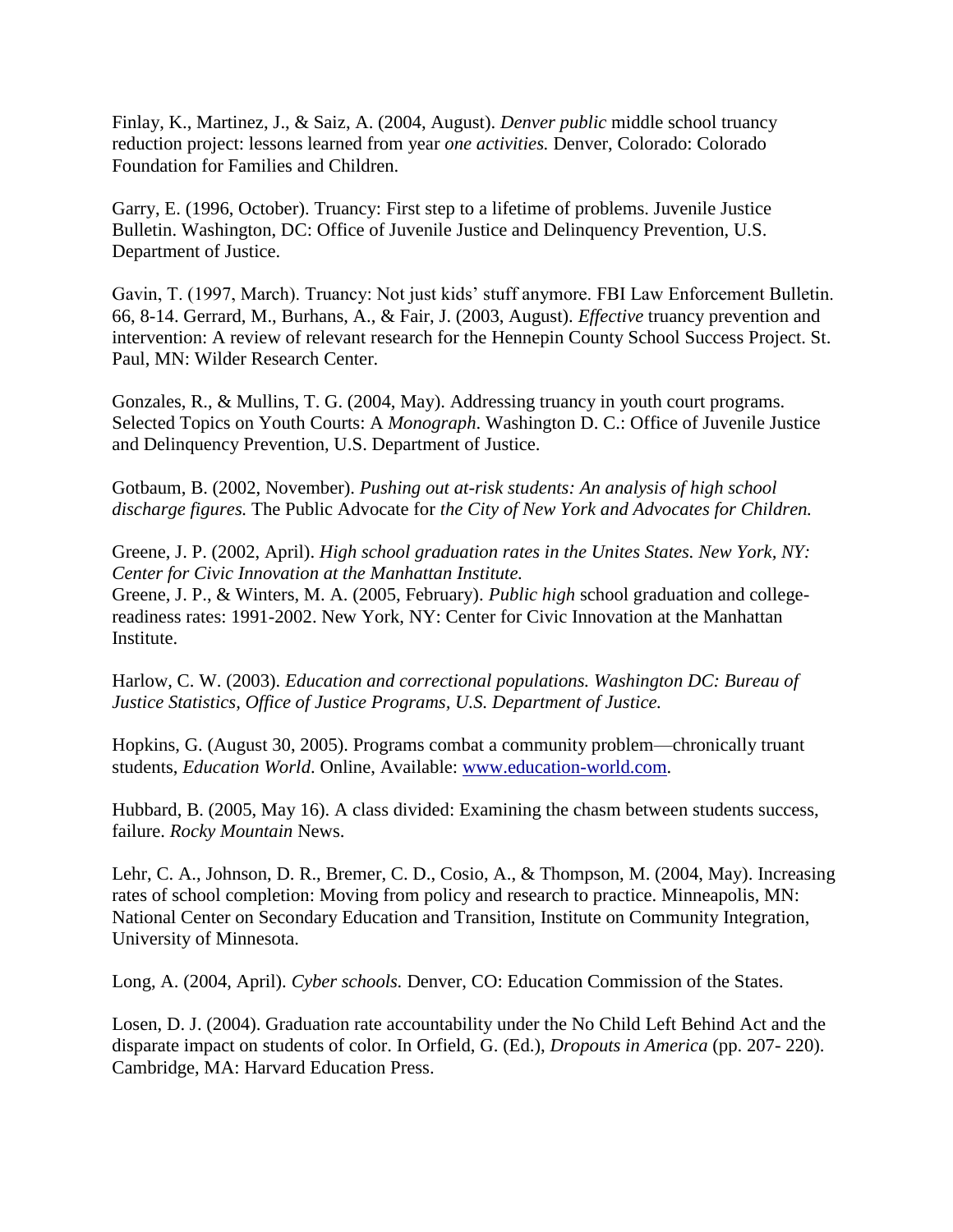Finlay, K., Martinez, J., & Saiz, A. (2004, August). *Denver public* middle school truancy reduction project: lessons learned from year *one activities.* Denver, Colorado: Colorado Foundation for Families and Children.

Garry, E. (1996, October). Truancy: First step to a lifetime of problems. Juvenile Justice Bulletin. Washington, DC: Office of Juvenile Justice and Delinquency Prevention, U.S. Department of Justice.

Gavin, T. (1997, March). Truancy: Not just kids' stuff anymore. FBI Law Enforcement Bulletin. 66, 8-14. Gerrard, M., Burhans, A., & Fair, J. (2003, August). *Effective* truancy prevention and intervention: A review of relevant research for the Hennepin County School Success Project. St. Paul, MN: Wilder Research Center.

Gonzales, R., & Mullins, T. G. (2004, May). Addressing truancy in youth court programs. Selected Topics on Youth Courts: A *Monograph*. Washington D. C.: Office of Juvenile Justice and Delinquency Prevention, U.S. Department of Justice.

Gotbaum, B. (2002, November). *Pushing out at-risk students: An analysis of high school discharge figures.* The Public Advocate for *the City of New York and Advocates for Children.*

Greene, J. P. (2002, April). *High school graduation rates in the Unites States. New York, NY: Center for Civic Innovation at the Manhattan Institute.*

Greene, J. P., & Winters, M. A. (2005, February). *Public high* school graduation and collegereadiness rates: 1991-2002. New York, NY: Center for Civic Innovation at the Manhattan Institute.

Harlow, C. W. (2003). *Education and correctional populations. Washington DC: Bureau of Justice Statistics, Office of Justice Programs, U.S. Department of Justice.*

Hopkins, G. (August 30, 2005). Programs combat a community problem—chronically truant students, *Education World*. Online, Available: [www.education-world.com.](http://www.education-world.com/)

Hubbard, B. (2005, May 16). A class divided: Examining the chasm between students success, failure. *Rocky Mountain* News.

Lehr, C. A., Johnson, D. R., Bremer, C. D., Cosio, A., & Thompson, M. (2004, May). Increasing rates of school completion: Moving from policy and research to practice. Minneapolis, MN: National Center on Secondary Education and Transition, Institute on Community Integration, University of Minnesota.

Long, A. (2004, April). *Cyber schools.* Denver, CO: Education Commission of the States.

Losen, D. J. (2004). Graduation rate accountability under the No Child Left Behind Act and the disparate impact on students of color. In Orfield, G. (Ed.), *Dropouts in America* (pp. 207- 220). Cambridge, MA: Harvard Education Press.